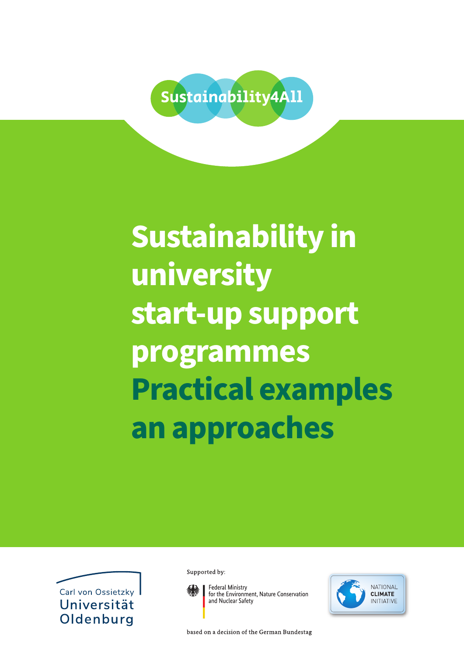

# **Sustainability in university start-up support programmes Practical examples an approaches**



Supported by:



**Federal Ministry** for the Environment, Nature Conservation and Nuclear Safety

ΝΔΤΙΩΝΔΙ **CLIMATE NITIATIVE** 

based on a decision of the German Bundestag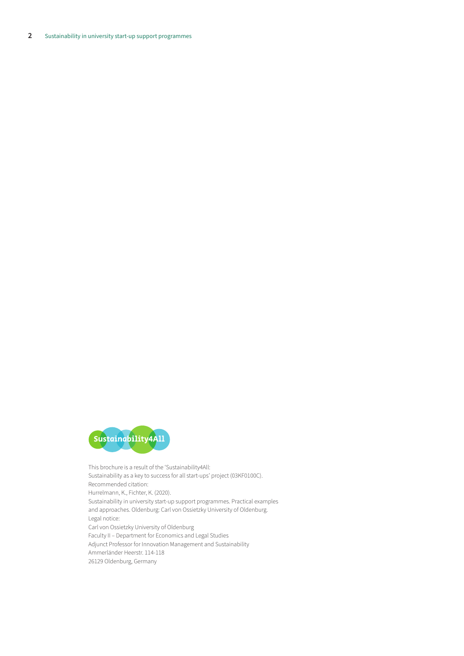

This brochure is a result of the 'Sustainability4All: Sustainability as a key to success for all start-ups' project (03KF0100C). Recommended citation: Hurrelmann, K., Fichter, K. (2020). Sustainability in university start-up support programmes. Practical examples and approaches. Oldenburg: Carl von Ossietzky University of Oldenburg. Legal notice: Carl von Ossietzky University of Oldenburg Faculty II – Department for Economics and Legal Studies Adjunct Professor for Innovation Management and Sustainability Ammerländer Heerstr. 114-118 26129 Oldenburg, Germany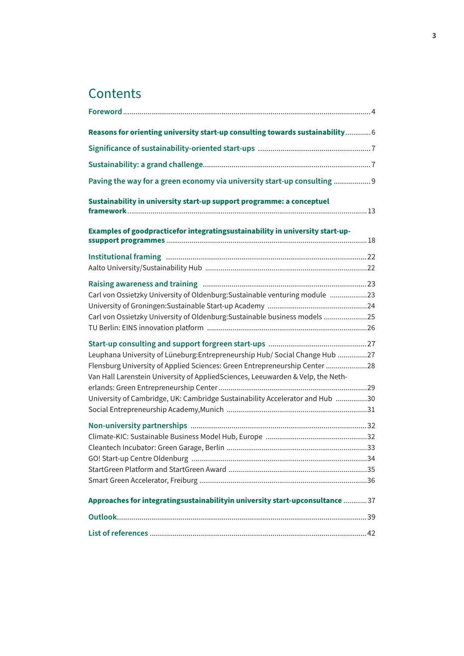# **Contents**

| Reasons for orienting university start-up consulting towards sustainability 6                                                                                                                                                                                                                                                |  |
|------------------------------------------------------------------------------------------------------------------------------------------------------------------------------------------------------------------------------------------------------------------------------------------------------------------------------|--|
|                                                                                                                                                                                                                                                                                                                              |  |
|                                                                                                                                                                                                                                                                                                                              |  |
| Paving the way for a green economy via university start-up consulting  9                                                                                                                                                                                                                                                     |  |
| Sustainability in university start-up support programme: a conceptuel                                                                                                                                                                                                                                                        |  |
| Examples of goodpracticefor integratingsustainability in university start-up-                                                                                                                                                                                                                                                |  |
|                                                                                                                                                                                                                                                                                                                              |  |
| Carl von Ossietzky University of Oldenburg: Sustainable venturing module 23<br>Carl von Ossietzky University of Oldenburg: Sustainable business models 25                                                                                                                                                                    |  |
| Leuphana University of Lüneburg: Entrepreneurship Hub/ Social Change Hub 27<br>Flensburg University of Applied Sciences: Green Entrepreneurship Center 28<br>Van Hall Larenstein University of AppliedSciences, Leeuwarden & Velp, the Neth-<br>University of Cambridge, UK: Cambridge Sustainability Accelerator and Hub 30 |  |
|                                                                                                                                                                                                                                                                                                                              |  |
| Approaches for integratingsustainabilityin university start-upconsultance  37                                                                                                                                                                                                                                                |  |
|                                                                                                                                                                                                                                                                                                                              |  |
|                                                                                                                                                                                                                                                                                                                              |  |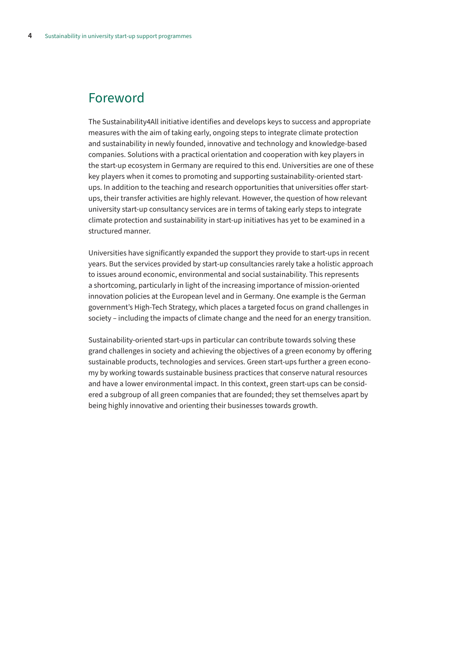### <span id="page-3-0"></span>Foreword

The Sustainability4All initiative identifies and develops keys to success and appropriate measures with the aim of taking early, ongoing steps to integrate climate protection and sustainability in newly founded, innovative and technology and knowledge-based companies. Solutions with a practical orientation and cooperation with key players in the start-up ecosystem in Germany are required to this end. Universities are one of these key players when it comes to promoting and supporting sustainability-oriented startups. In addition to the teaching and research opportunities that universities offer startups, their transfer activities are highly relevant. However, the question of how relevant university start-up consultancy services are in terms of taking early steps to integrate climate protection and sustainability in start-up initiatives has yet to be examined in a structured manner.

Universities have significantly expanded the support they provide to start-ups in recent years. But the services provided by start-up consultancies rarely take a holistic approach to issues around economic, environmental and social sustainability. This represents a shortcoming, particularly in light of the increasing importance of mission-oriented innovation policies at the European level and in Germany. One example is the German government's High-Tech Strategy, which places a targeted focus on grand challenges in society – including the impacts of climate change and the need for an energy transition.

Sustainability-oriented start-ups in particular can contribute towards solving these grand challenges in society and achieving the objectives of a green economy by offering sustainable products, technologies and services. Green start-ups further a green economy by working towards sustainable business practices that conserve natural resources and have a lower environmental impact. In this context, green start-ups can be considered a subgroup of all green companies that are founded; they set themselves apart by being highly innovative and orienting their businesses towards growth.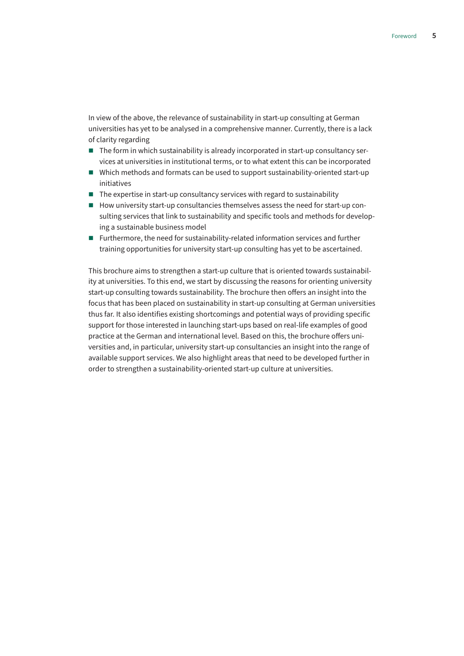In view of the above, the relevance of sustainability in start-up consulting at German universities has yet to be analysed in a comprehensive manner. Currently, there is a lack of clarity regarding

- $\blacksquare$  The form in which sustainability is already incorporated in start-up consultancy services at universities in institutional terms, or to what extent this can be incorporated
- Which methods and formats can be used to support sustainability-oriented start-up initiatives
- $\blacksquare$  The expertise in start-up consultancy services with regard to sustainability
- $\blacksquare$  How university start-up consultancies themselves assess the need for start-up consulting services that link to sustainability and specific tools and methods for developing a sustainable business model
- Furthermore, the need for sustainability-related information services and further training opportunities for university start-up consulting has yet to be ascertained.

This brochure aims to strengthen a start-up culture that is oriented towards sustainability at universities. To this end, we start by discussing the reasons for orienting university start-up consulting towards sustainability. The brochure then offers an insight into the focus that has been placed on sustainability in start-up consulting at German universities thus far. It also identifies existing shortcomings and potential ways of providing specific support for those interested in launching start-ups based on real-life examples of good practice at the German and international level. Based on this, the brochure offers universities and, in particular, university start-up consultancies an insight into the range of available support services. We also highlight areas that need to be developed further in order to strengthen a sustainability-oriented start-up culture at universities.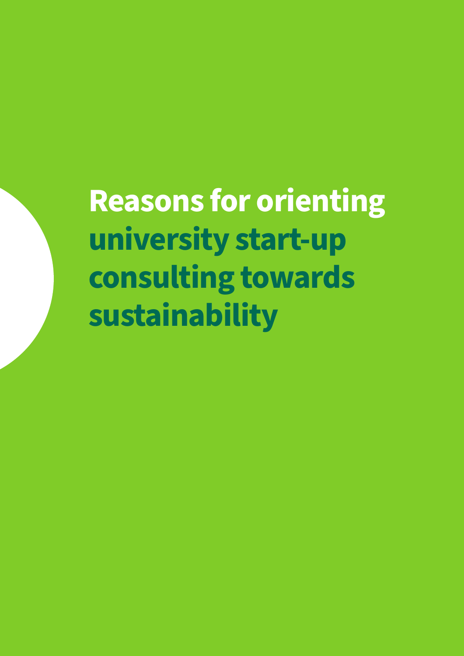<span id="page-5-0"></span>**Reasons for orienting university start-up consulting towards sustainability**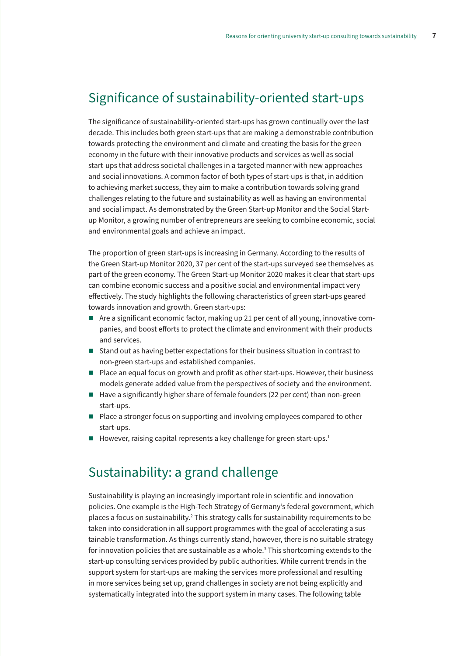### <span id="page-6-0"></span>Significance of sustainability-oriented start-ups

The significance of sustainability-oriented start-ups has grown continually over the last decade. This includes both green start-ups that are making a demonstrable contribution towards protecting the environment and climate and creating the basis for the green economy in the future with their innovative products and services as well as social start-ups that address societal challenges in a targeted manner with new approaches and social innovations. A common factor of both types of start-ups is that, in addition to achieving market success, they aim to make a contribution towards solving grand challenges relating to the future and sustainability as well as having an environmental and social impact. As demonstrated by the Green Start-up Monitor and the Social Startup Monitor, a growing number of entrepreneurs are seeking to combine economic, social and environmental goals and achieve an impact.

The proportion of green start-ups is increasing in Germany. According to the results of the Green Start-up Monitor 2020, 37 per cent of the start-ups surveyed see themselves as part of the green economy. The Green Start-up Monitor 2020 makes it clear that start-ups can combine economic success and a positive social and environmental impact very effectively. The study highlights the following characteristics of green start-ups geared towards innovation and growth. Green start-ups:

- Are a significant economic factor, making up 21 per cent of all young, innovative companies, and boost efforts to protect the climate and environment with their products and services.
- Stand out as having better expectations for their business situation in contrast to non-green start-ups and established companies.
- $\blacksquare$  Place an equal focus on growth and profit as other start-ups. However, their business models generate added value from the perspectives of society and the environment.
- $\blacksquare$  Have a significantly higher share of female founders (22 per cent) than non-green start-ups.
- Place a stronger focus on supporting and involving employees compared to other start-ups.
- $\blacksquare$  However, raising capital represents a key challenge for green start-ups.<sup>1</sup>

### Sustainability: a grand challenge

Sustainability is playing an increasingly important role in scientific and innovation policies. One example is the High-Tech Strategy of Germany's federal government, which places a focus on sustainability.<sup>2</sup> This strategy calls for sustainability requirements to be taken into consideration in all support programmes with the goal of accelerating a sustainable transformation. As things currently stand, however, there is no suitable strategy for innovation policies that are sustainable as a whole. $^{\rm 3}$  This shortcoming extends to the start-up consulting services provided by public authorities. While current trends in the support system for start-ups are making the services more professional and resulting in more services being set up, grand challenges in society are not being explicitly and systematically integrated into the support system in many cases. The following table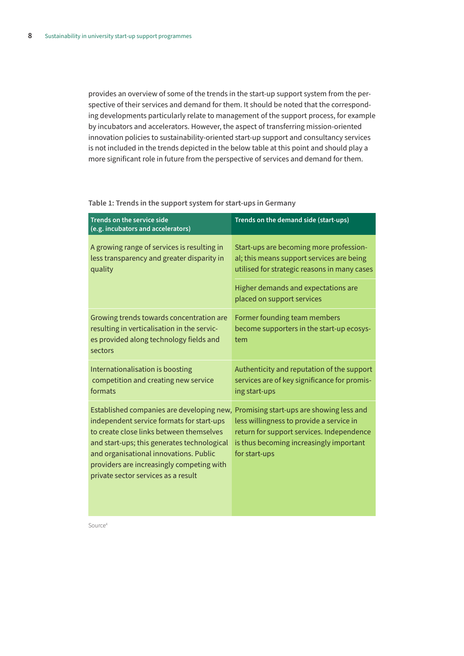provides an overview of some of the trends in the start-up support system from the perspective of their services and demand for them. It should be noted that the corresponding developments particularly relate to management of the support process, for example by incubators and accelerators. However, the aspect of transferring mission-oriented innovation policies to sustainability-oriented start-up support and consultancy services is not included in the trends depicted in the below table at this point and should play a more significant role in future from the perspective of services and demand for them.

**Table 1: Trends in the support system for start-ups in Germany**

| <b>Trends on the service side</b><br>(e.g. incubators and accelerators)                                                                                                                                                                                                                                         | Trends on the demand side (start-ups)                                                                                                                                                         |
|-----------------------------------------------------------------------------------------------------------------------------------------------------------------------------------------------------------------------------------------------------------------------------------------------------------------|-----------------------------------------------------------------------------------------------------------------------------------------------------------------------------------------------|
| A growing range of services is resulting in<br>less transparency and greater disparity in<br>quality                                                                                                                                                                                                            | Start-ups are becoming more profession-<br>al; this means support services are being<br>utilised for strategic reasons in many cases                                                          |
|                                                                                                                                                                                                                                                                                                                 | Higher demands and expectations are<br>placed on support services                                                                                                                             |
| Growing trends towards concentration are<br>resulting in verticalisation in the servic-<br>es provided along technology fields and<br>sectors                                                                                                                                                                   | Former founding team members<br>become supporters in the start-up ecosys-<br>tem                                                                                                              |
| Internationalisation is boosting<br>competition and creating new service<br>formats                                                                                                                                                                                                                             | Authenticity and reputation of the support<br>services are of key significance for promis-<br>ing start-ups                                                                                   |
| Established companies are developing new,<br>independent service formats for start-ups<br>to create close links between themselves<br>and start-ups; this generates technological<br>and organisational innovations. Public<br>providers are increasingly competing with<br>private sector services as a result | Promising start-ups are showing less and<br>less willingness to provide a service in<br>return for support services. Independence<br>is thus becoming increasingly important<br>for start-ups |

Source<sup>4</sup>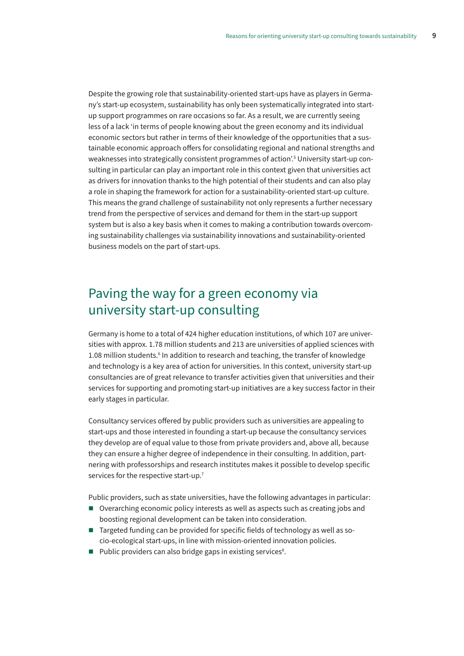<span id="page-8-0"></span>Despite the growing role that sustainability-oriented start-ups have as players in Germany's start-up ecosystem, sustainability has only been systematically integrated into startup support programmes on rare occasions so far. As a result, we are currently seeing less of a lack 'in terms of people knowing about the green economy and its individual economic sectors but rather in terms of their knowledge of the opportunities that a sustainable economic approach offers for consolidating regional and national strengths and weaknesses into strategically consistent programmes of action'.5 University start-up consulting in particular can play an important role in this context given that universities act as drivers for innovation thanks to the high potential of their students and can also play a role in shaping the framework for action for a sustainability-oriented start-up culture. This means the grand challenge of sustainability not only represents a further necessary trend from the perspective of services and demand for them in the start-up support system but is also a key basis when it comes to making a contribution towards overcoming sustainability challenges via sustainability innovations and sustainability-oriented business models on the part of start-ups.

### Paving the way for a green economy via university start-up consulting

Germany is home to a total of 424 higher education institutions, of which 107 are universities with approx. 1.78 million students and 213 are universities of applied sciences with 1.08 million students.<sup>6</sup> In addition to research and teaching, the transfer of knowledge and technology is a key area of action for universities. In this context, university start-up consultancies are of great relevance to transfer activities given that universities and their services for supporting and promoting start-up initiatives are a key success factor in their early stages in particular.

Consultancy services offered by public providers such as universities are appealing to start-ups and those interested in founding a start-up because the consultancy services they develop are of equal value to those from private providers and, above all, because they can ensure a higher degree of independence in their consulting. In addition, partnering with professorships and research institutes makes it possible to develop specific services for the respective start-up.<sup>7</sup>

Public providers, such as state universities, have the following advantages in particular:

- Overarching economic policy interests as well as aspects such as creating jobs and boosting regional development can be taken into consideration.
- Targeted funding can be provided for specific fields of technology as well as socio-ecological start-ups, in line with mission-oriented innovation policies.
- $\blacksquare$  Public providers can also bridge gaps in existing services<sup>8</sup>.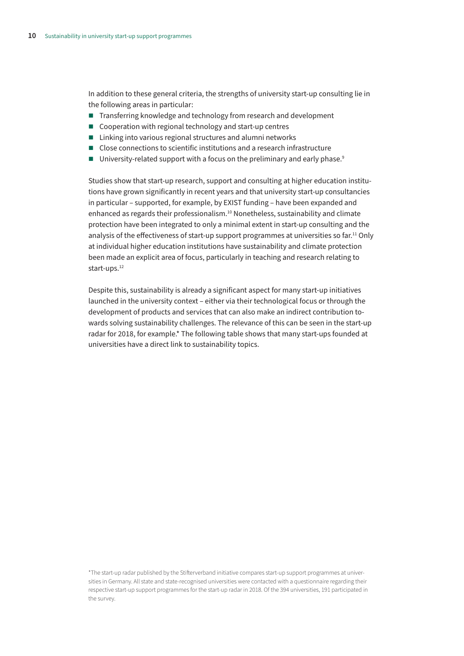In addition to these general criteria, the strengths of university start-up consulting lie in the following areas in particular:

- Transferring knowledge and technology from research and development
- Cooperation with regional technology and start-up centres
- Linking into various regional structures and alumni networks
- Close connections to scientific institutions and a research infrastructure
- **University-related support with a focus on the preliminary and early phase.**<sup>9</sup>

Studies show that start-up research, support and consulting at higher education institutions have grown significantly in recent years and that university start-up consultancies in particular – supported, for example, by EXIST funding – have been expanded and enhanced as regards their professionalism.<sup>10</sup> Nonetheless, sustainability and climate protection have been integrated to only a minimal extent in start-up consulting and the analysis of the effectiveness of start-up support programmes at universities so far.<sup>11</sup> Only at individual higher education institutions have sustainability and climate protection been made an explicit area of focus, particularly in teaching and research relating to start-ups.<sup>12</sup>

Despite this, sustainability is already a significant aspect for many start-up initiatives launched in the university context – either via their technological focus or through the development of products and services that can also make an indirect contribution towards solving sustainability challenges. The relevance of this can be seen in the start-up radar for 2018, for example.\* The following table shows that many start-ups founded at universities have a direct link to sustainability topics.

\*The start-up radar published by the Stifterverband initiative compares start-up support programmes at universities in Germany. All state and state-recognised universities were contacted with a questionnaire regarding their respective start-up support programmes for the start-up radar in 2018. Of the 394 universities, 191 participated in the survey.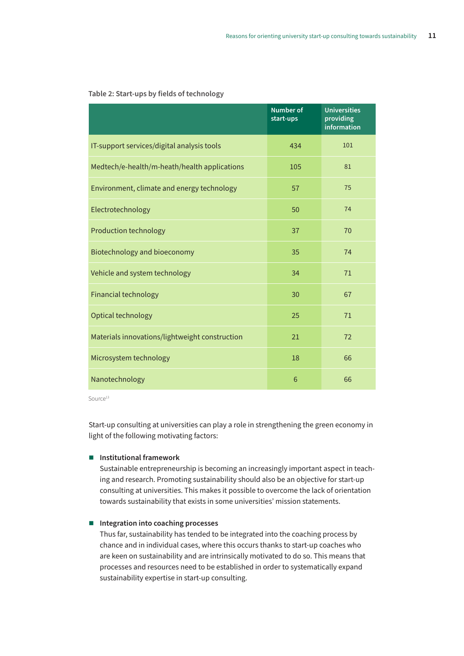|                                                | <b>Number of</b><br>start-ups | <b>Universities</b><br>providing<br>information |
|------------------------------------------------|-------------------------------|-------------------------------------------------|
| IT-support services/digital analysis tools     | 434                           | 101                                             |
| Medtech/e-health/m-heath/health applications   | 105                           | 81                                              |
| Environment, climate and energy technology     | 57                            | 75                                              |
| Electrotechnology                              | 50                            | 74                                              |
| <b>Production technology</b>                   | 37                            | 70                                              |
| Biotechnology and bioeconomy                   | 35                            | 74                                              |
| Vehicle and system technology                  | 34                            | 71                                              |
| <b>Financial technology</b>                    | 30                            | 67                                              |
| Optical technology                             | 25                            | 71                                              |
| Materials innovations/lightweight construction | 21                            | 72                                              |
| Microsystem technology                         | 18                            | 66                                              |
| Nanotechnology                                 | 6                             | 66                                              |

#### **Table 2: Start-ups by fields of technology**

Source<sup>13</sup>

Start-up consulting at universities can play a role in strengthening the green economy in light of the following motivating factors:

### **Institutional framework**

Sustainable entrepreneurship is becoming an increasingly important aspect in teaching and research. Promoting sustainability should also be an objective for start-up consulting at universities. This makes it possible to overcome the lack of orientation towards sustainability that exists in some universities' mission statements.

### **Integration into coaching processes**

Thus far, sustainability has tended to be integrated into the coaching process by chance and in individual cases, where this occurs thanks to start-up coaches who are keen on sustainability and are intrinsically motivated to do so. This means that processes and resources need to be established in order to systematically expand sustainability expertise in start-up consulting.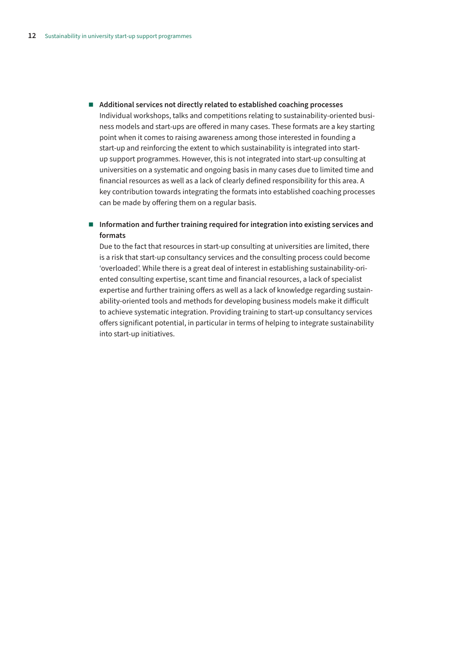**Additional services not directly related to established coaching processes**  Individual workshops, talks and competitions relating to sustainability-oriented business models and start-ups are offered in many cases. These formats are a key starting point when it comes to raising awareness among those interested in founding a start-up and reinforcing the extent to which sustainability is integrated into startup support programmes. However, this is not integrated into start-up consulting at universities on a systematic and ongoing basis in many cases due to limited time and financial resources as well as a lack of clearly defined responsibility for this area. A key contribution towards integrating the formats into established coaching processes can be made by offering them on a regular basis.

### **Information and further training required for integration into existing services and formats**

Due to the fact that resources in start-up consulting at universities are limited, there is a risk that start-up consultancy services and the consulting process could become 'overloaded'. While there is a great deal of interest in establishing sustainability-oriented consulting expertise, scant time and financial resources, a lack of specialist expertise and further training offers as well as a lack of knowledge regarding sustainability-oriented tools and methods for developing business models make it difficult to achieve systematic integration. Providing training to start-up consultancy services offers significant potential, in particular in terms of helping to integrate sustainability into start-up initiatives.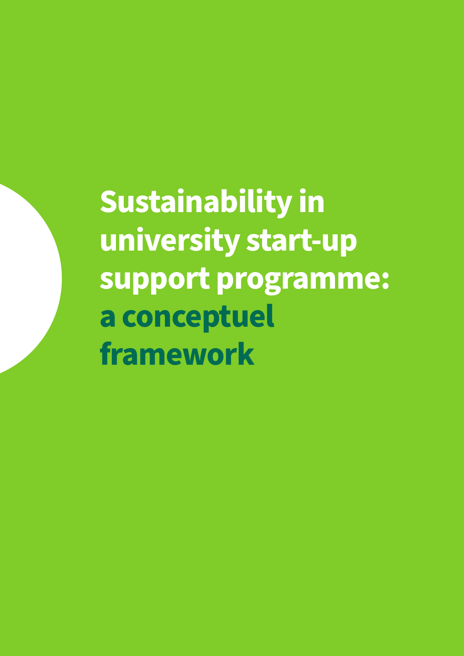<span id="page-12-0"></span>**Sustainability in university start-up support programme: a conceptuel framework**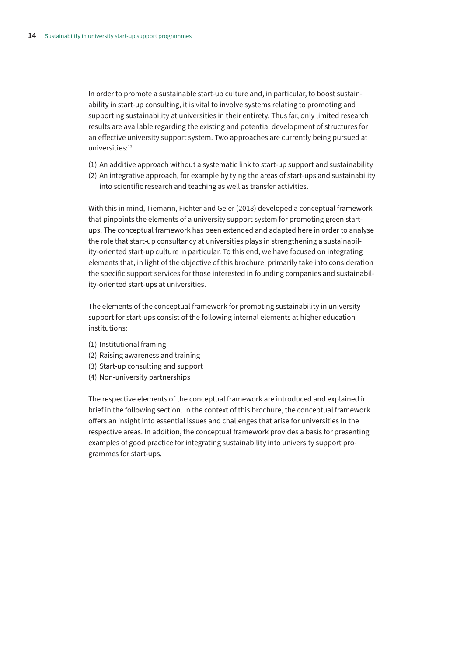In order to promote a sustainable start-up culture and, in particular, to boost sustainability in start-up consulting, it is vital to involve systems relating to promoting and supporting sustainability at universities in their entirety. Thus far, only limited research results are available regarding the existing and potential development of structures for an effective university support system. Two approaches are currently being pursued at universities:<sup>13</sup>

- (1) An additive approach without a systematic link to start-up support and sustainability
- (2) An integrative approach, for example by tying the areas of start-ups and sustainability into scientific research and teaching as well as transfer activities.

With this in mind, Tiemann, Fichter and Geier (2018) developed a conceptual framework that pinpoints the elements of a university support system for promoting green startups. The conceptual framework has been extended and adapted here in order to analyse the role that start-up consultancy at universities plays in strengthening a sustainability-oriented start-up culture in particular. To this end, we have focused on integrating elements that, in light of the objective of this brochure, primarily take into consideration the specific support services for those interested in founding companies and sustainability-oriented start-ups at universities.

The elements of the conceptual framework for promoting sustainability in university support for start-ups consist of the following internal elements at higher education institutions:

- (1) Institutional framing
- (2) Raising awareness and training
- (3) Start-up consulting and support
- (4) Non-university partnerships

The respective elements of the conceptual framework are introduced and explained in brief in the following section. In the context of this brochure, the conceptual framework offers an insight into essential issues and challenges that arise for universities in the respective areas. In addition, the conceptual framework provides a basis for presenting examples of good practice for integrating sustainability into university support programmes for start-ups.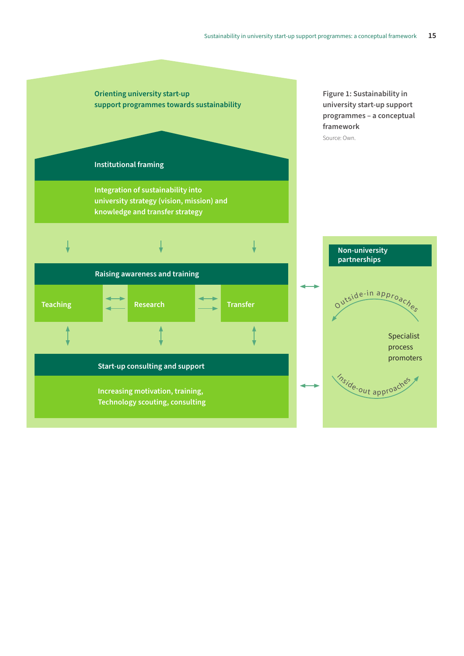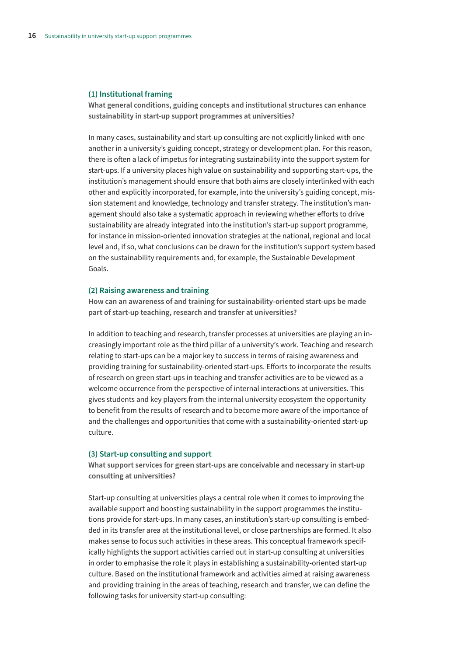#### **(1) Institutional framing**

**What general conditions, guiding concepts and institutional structures can enhance sustainability in start-up support programmes at universities?**

In many cases, sustainability and start-up consulting are not explicitly linked with one another in a university's guiding concept, strategy or development plan. For this reason, there is often a lack of impetus for integrating sustainability into the support system for start-ups. If a university places high value on sustainability and supporting start-ups, the institution's management should ensure that both aims are closely interlinked with each other and explicitly incorporated, for example, into the university's guiding concept, mission statement and knowledge, technology and transfer strategy. The institution's management should also take a systematic approach in reviewing whether efforts to drive sustainability are already integrated into the institution's start-up support programme, for instance in mission-oriented innovation strategies at the national, regional and local level and, if so, what conclusions can be drawn for the institution's support system based on the sustainability requirements and, for example, the Sustainable Development Goals.

#### **(2) Raising awareness and training**

**How can an awareness of and training for sustainability-oriented start-ups be made part of start-up teaching, research and transfer at universities?**

In addition to teaching and research, transfer processes at universities are playing an increasingly important role as the third pillar of a university's work. Teaching and research relating to start-ups can be a major key to success in terms of raising awareness and providing training for sustainability-oriented start-ups. Efforts to incorporate the results of research on green start-ups in teaching and transfer activities are to be viewed as a welcome occurrence from the perspective of internal interactions at universities. This gives students and key players from the internal university ecosystem the opportunity to benefit from the results of research and to become more aware of the importance of and the challenges and opportunities that come with a sustainability-oriented start-up culture.

#### **(3) Start-up consulting and support**

**What support services for green start-ups are conceivable and necessary in start-up consulting at universities?**

Start-up consulting at universities plays a central role when it comes to improving the available support and boosting sustainability in the support programmes the institutions provide for start-ups. In many cases, an institution's start-up consulting is embedded in its transfer area at the institutional level, or close partnerships are formed. It also makes sense to focus such activities in these areas. This conceptual framework specifically highlights the support activities carried out in start-up consulting at universities in order to emphasise the role it plays in establishing a sustainability-oriented start-up culture. Based on the institutional framework and activities aimed at raising awareness and providing training in the areas of teaching, research and transfer, we can define the following tasks for university start-up consulting: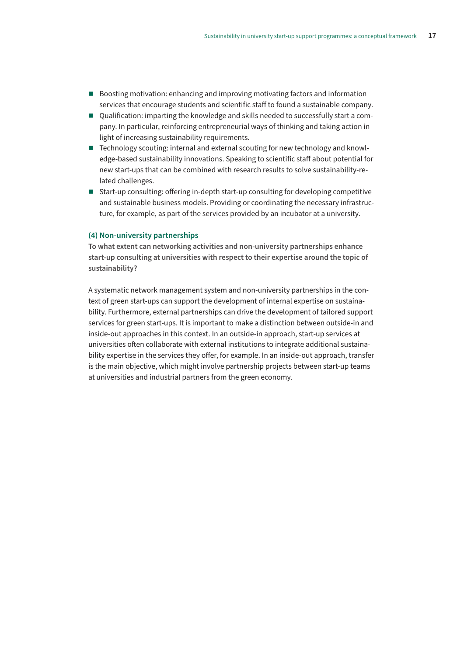- Boosting motivation: enhancing and improving motivating factors and information services that encourage students and scientific staff to found a sustainable company.
- Qualification: imparting the knowledge and skills needed to successfully start a company. In particular, reinforcing entrepreneurial ways of thinking and taking action in light of increasing sustainability requirements.
- Technology scouting: internal and external scouting for new technology and knowledge-based sustainability innovations. Speaking to scientific staff about potential for new start-ups that can be combined with research results to solve sustainability-related challenges.
- Start-up consulting: offering in-depth start-up consulting for developing competitive and sustainable business models. Providing or coordinating the necessary infrastructure, for example, as part of the services provided by an incubator at a university.

**To what extent can networking activities and non-university partnerships enhance start-up consulting at universities with respect to their expertise around the topic of sustainability?**

A systematic network management system and non-university partnerships in the context of green start-ups can support the development of internal expertise on sustainability. Furthermore, external partnerships can drive the development of tailored support services for green start-ups. It is important to make a distinction between outside-in and inside-out approaches in this context. In an outside-in approach, start-up services at universities often collaborate with external institutions to integrate additional sustainability expertise in the services they offer, for example. In an inside-out approach, transfer is the main objective, which might involve partnership projects between start-up teams at universities and industrial partners from the green economy.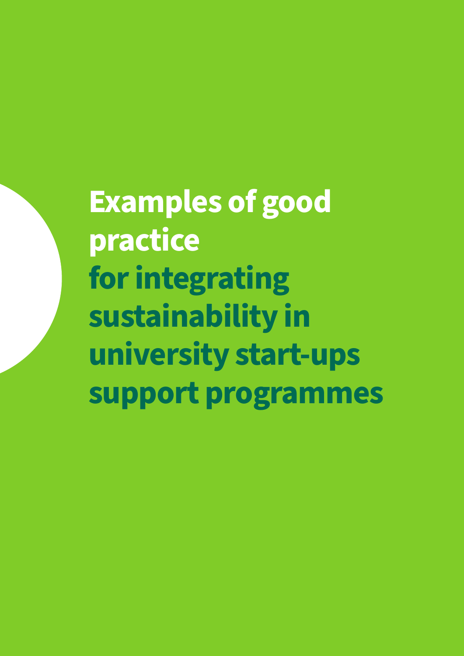<span id="page-17-0"></span>**Examples of good practice for integrating sustainability in university start-ups support programmes**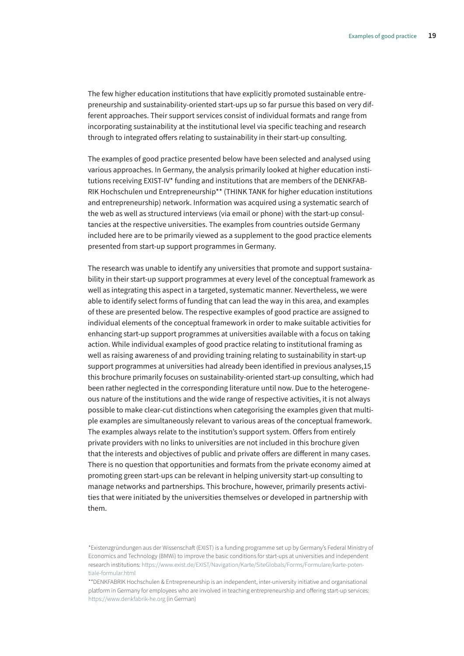The few higher education institutions that have explicitly promoted sustainable entrepreneurship and sustainability-oriented start-ups up so far pursue this based on very different approaches. Their support services consist of individual formats and range from incorporating sustainability at the institutional level via specific teaching and research through to integrated offers relating to sustainability in their start-up consulting.

The examples of good practice presented below have been selected and analysed using various approaches. In Germany, the analysis primarily looked at higher education institutions receiving EXIST-IV\* funding and institutions that are members of the DENKFAB-RIK Hochschulen und Entrepreneurship\*\* (THINK TANK for higher education institutions and entrepreneurship) network. Information was acquired using a systematic search of the web as well as structured interviews (via email or phone) with the start-up consultancies at the respective universities. The examples from countries outside Germany included here are to be primarily viewed as a supplement to the good practice elements presented from start-up support programmes in Germany.

The research was unable to identify any universities that promote and support sustainability in their start-up support programmes at every level of the conceptual framework as well as integrating this aspect in a targeted, systematic manner. Nevertheless, we were able to identify select forms of funding that can lead the way in this area, and examples of these are presented below. The respective examples of good practice are assigned to individual elements of the conceptual framework in order to make suitable activities for enhancing start-up support programmes at universities available with a focus on taking action. While individual examples of good practice relating to institutional framing as well as raising awareness of and providing training relating to sustainability in start-up support programmes at universities had already been identified in previous analyses,15 this brochure primarily focuses on sustainability-oriented start-up consulting, which had been rather neglected in the corresponding literature until now. Due to the heterogeneous nature of the institutions and the wide range of respective activities, it is not always possible to make clear-cut distinctions when categorising the examples given that multiple examples are simultaneously relevant to various areas of the conceptual framework. The examples always relate to the institution's support system. Offers from entirely private providers with no links to universities are not included in this brochure given that the interests and objectives of public and private offers are different in many cases. There is no question that opportunities and formats from the private economy aimed at promoting green start-ups can be relevant in helping university start-up consulting to manage networks and partnerships. This brochure, however, primarily presents activities that were initiated by the universities themselves or developed in partnership with them.

<sup>\*</sup>Existenzgründungen aus der Wissenschaft (EXIST) is a funding programme set up by Germany's Federal Ministry of Economics and Technology (BMWi) to improve the basic conditions for start-ups at universities and independent research institutions: [https://www.exist.de/EXIST/Navigation/Karte/SiteGlobals/Forms/Formulare/karte-poten](https://www.exist.de/EXIST/Navigation/Karte/SiteGlobals/Forms/Formulare/karte-potentiale-formular.html)[tiale-formular.html](https://www.exist.de/EXIST/Navigation/Karte/SiteGlobals/Forms/Formulare/karte-potentiale-formular.html)

<sup>\*\*</sup>DENKFABRIK Hochschulen & Entrepreneurship is an independent, inter-university initiative and organisational platform in Germany for employees who are involved in teaching entrepreneurship and offering start-up services: <https://www.denkfabrik-he.org> (in German)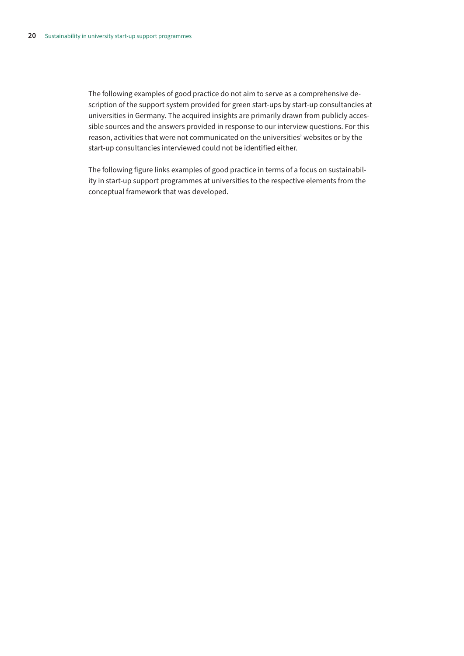The following examples of good practice do not aim to serve as a comprehensive description of the support system provided for green start-ups by start-up consultancies at universities in Germany. The acquired insights are primarily drawn from publicly accessible sources and the answers provided in response to our interview questions. For this reason, activities that were not communicated on the universities' websites or by the start-up consultancies interviewed could not be identified either.

The following figure links examples of good practice in terms of a focus on sustainability in start-up support programmes at universities to the respective elements from the conceptual framework that was developed.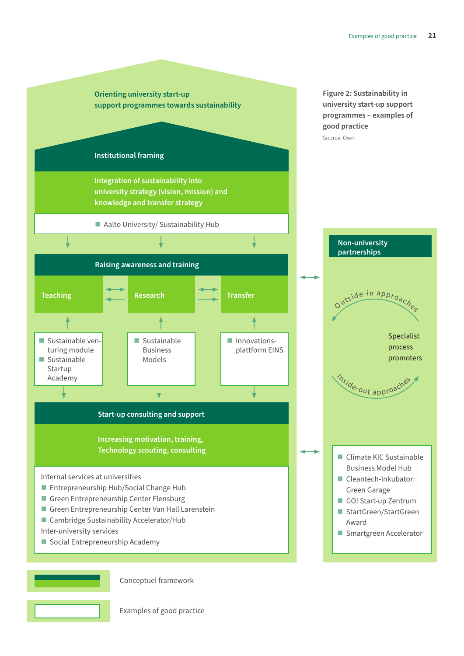

Conceptuel framework

Examples of good practice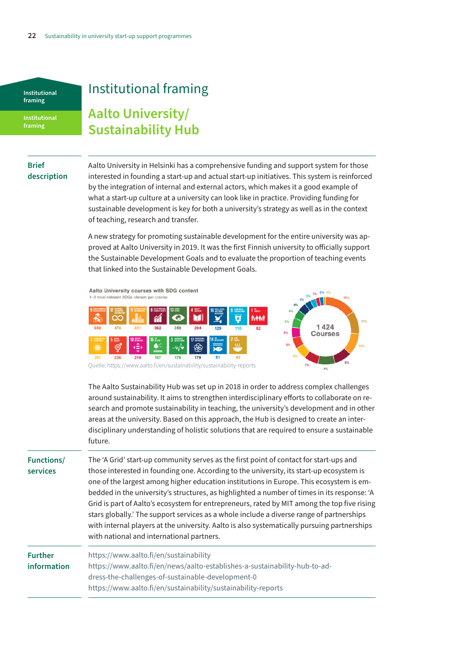<span id="page-21-0"></span>**Institutional framing** 

**Institutional framing** 

## Institutional framing

### **Aalto University/ Sustainability Hub**

### **Brief description**

Aalto University in Helsinki has a comprehensive funding and support system for those interested in founding a start-up and actual start-up initiatives. This system is reinforced by the integration of internal and external actors, which makes it a good example of what a start-up culture at a university can look like in practice. Providing funding for sustainable development is key for both a university's strategy as well as in the context of teaching, research and transfer.

A new strategy for promoting sustainable development for the entire university was approved at Aalto University in 2019. It was the first Finnish university to officially support the Sustainable Development Goals and to evaluate the proportion of teaching events that linked into the Sustainable Development Goals.

Aalto University courses with SDG content  $1 - 3n$ st relevant SD(



The Aalto Sustainability Hub was set up in 2018 in order to address complex challenges around sustainability. It aims to strengthen interdisciplinary efforts to collaborate on research and promote sustainability in teaching, the university's development and in other areas at the university. Based on this approach, the Hub is designed to create an interdisciplinary understanding of holistic solutions that are required to ensure a sustainable future.

**Functions/ services** The 'A Grid' start-up community serves as the first point of contact for start-ups and those interested in founding one. According to the university, its start-up ecosystem is one of the largest among higher education institutions in Europe. This ecosystem is embedded in the university's structures, as highlighted a number of times in its response: 'A Grid is part of Aalto's ecosystem for entrepreneurs, rated by MIT among the top five rising stars globally.' The support services as a whole include a diverse range of partnerships with internal players at the university. Aalto is also systematically pursuing partnerships with national and international partners.

**Further information** <https://www.aalto.fi/en/sustainability> [https://www.aalto.fi/en/news/aalto-establishes-a-sustainability-hub-to-ad](https://www.aalto.fi/en/news/aalto-establishes-a-sustainability-hub-to-address-the-challenges-of-sustainable-development-0)[dress-the-challenges-of-sustainable-development-0](https://www.aalto.fi/en/news/aalto-establishes-a-sustainability-hub-to-address-the-challenges-of-sustainable-development-0) <https://www.aalto.fi/en/sustainability/sustainability-reports>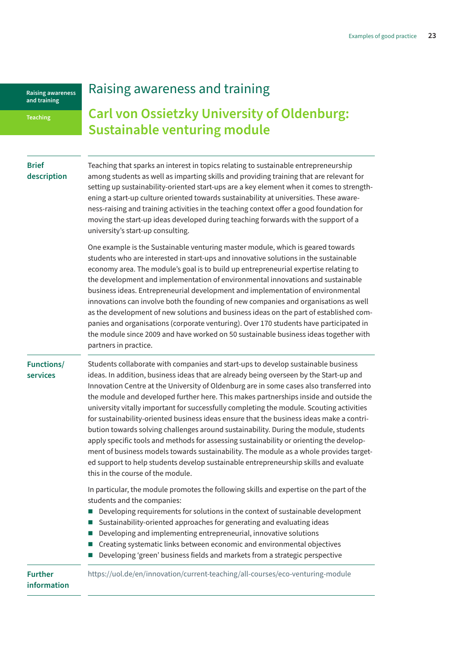#### <span id="page-22-0"></span>**Teaching**

### Raising awareness and training

### **Carl von Ossietzky University of Oldenburg: Sustainable venturing module**

### **Brief description**

Teaching that sparks an interest in topics relating to sustainable entrepreneurship among students as well as imparting skills and providing training that are relevant for setting up sustainability-oriented start-ups are a key element when it comes to strengthening a start-up culture oriented towards sustainability at universities. These awareness-raising and training activities in the teaching context offer a good foundation for moving the start-up ideas developed during teaching forwards with the support of a university's start-up consulting.

One example is the Sustainable venturing master module, which is geared towards students who are interested in start-ups and innovative solutions in the sustainable economy area. The module's goal is to build up entrepreneurial expertise relating to the development and implementation of environmental innovations and sustainable business ideas. Entrepreneurial development and implementation of environmental innovations can involve both the founding of new companies and organisations as well as the development of new solutions and business ideas on the part of established companies and organisations (corporate venturing). Over 170 students have participated in the module since 2009 and have worked on 50 sustainable business ideas together with partners in practice.

#### **Functions/ services**

Students collaborate with companies and start-ups to develop sustainable business ideas. In addition, business ideas that are already being overseen by the Start-up and Innovation Centre at the University of Oldenburg are in some cases also transferred into the module and developed further here. This makes partnerships inside and outside the university vitally important for successfully completing the module. Scouting activities for sustainability-oriented business ideas ensure that the business ideas make a contribution towards solving challenges around sustainability. During the module, students apply specific tools and methods for assessing sustainability or orienting the development of business models towards sustainability. The module as a whole provides targeted support to help students develop sustainable entrepreneurship skills and evaluate this in the course of the module.

In particular, the module promotes the following skills and expertise on the part of the students and the companies:

- Developing requirements for solutions in the context of sustainable development
- Sustainability-oriented approaches for generating and evaluating ideas
- Developing and implementing entrepreneurial, innovative solutions
- Creating systematic links between economic and environmental objectives
- Developing 'green' business fields and markets from a strategic perspective

**Further information**

<https://uol.de/en/innovation/current-teaching/all-courses/eco-venturing-module>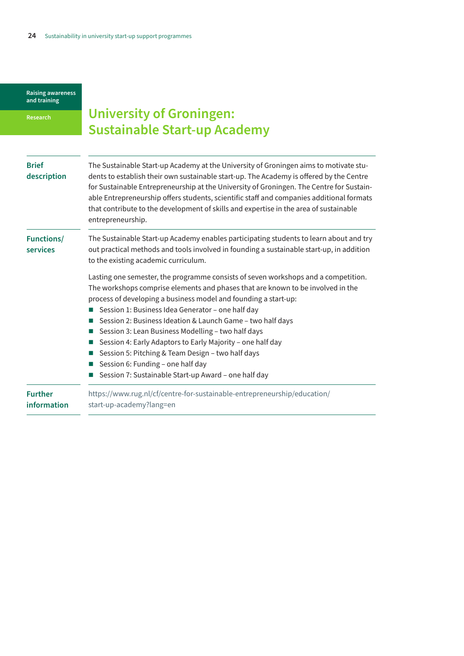<span id="page-23-0"></span>**Research**

# **University of Groningen: Sustainable Start-up Academy**

| <b>Brief</b><br>description   | The Sustainable Start-up Academy at the University of Groningen aims to motivate stu-<br>dents to establish their own sustainable start-up. The Academy is offered by the Centre<br>for Sustainable Entrepreneurship at the University of Groningen. The Centre for Sustain-<br>able Entrepreneurship offers students, scientific staff and companies additional formats<br>that contribute to the development of skills and expertise in the area of sustainable<br>entrepreneurship.                                                                                                                                            |
|-------------------------------|-----------------------------------------------------------------------------------------------------------------------------------------------------------------------------------------------------------------------------------------------------------------------------------------------------------------------------------------------------------------------------------------------------------------------------------------------------------------------------------------------------------------------------------------------------------------------------------------------------------------------------------|
| <b>Functions/</b><br>services | The Sustainable Start-up Academy enables participating students to learn about and try<br>out practical methods and tools involved in founding a sustainable start-up, in addition<br>to the existing academic curriculum.                                                                                                                                                                                                                                                                                                                                                                                                        |
|                               | Lasting one semester, the programme consists of seven workshops and a competition.<br>The workshops comprise elements and phases that are known to be involved in the<br>process of developing a business model and founding a start-up:<br>Session 1: Business Idea Generator - one half day<br>Session 2: Business Ideation & Launch Game - two half days<br>Session 3: Lean Business Modelling - two half days<br>Session 4: Early Adaptors to Early Majority - one half day<br>Session 5: Pitching & Team Design - two half days<br>Session 6: Funding - one half day<br>Session 7: Sustainable Start-up Award - one half day |
| <b>Further</b><br>information | https://www.rug.nl/cf/centre-for-sustainable-entrepreneurship/education/<br>start-up-academy?lang=en                                                                                                                                                                                                                                                                                                                                                                                                                                                                                                                              |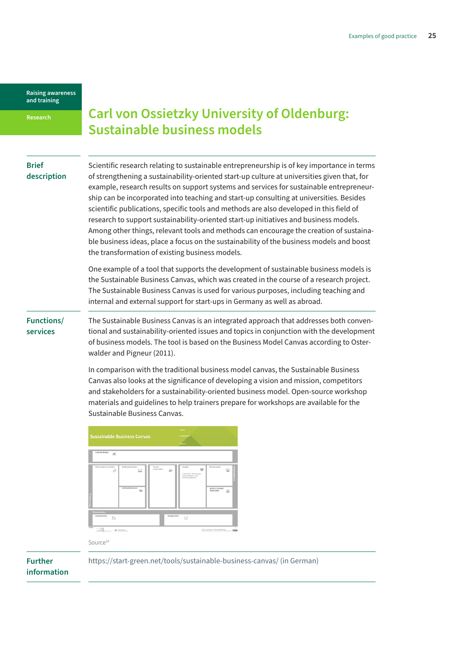<span id="page-24-0"></span>**Research**

**Brief** 

### **Carl von Ossietzky University of Oldenburg: Sustainable business models**

| -----       |  |
|-------------|--|
| description |  |

Scientific research relating to sustainable entrepreneurship is of key importance in terms of strengthening a sustainability-oriented start-up culture at universities given that, for example, research results on support systems and services for sustainable entrepreneurship can be incorporated into teaching and start-up consulting at universities. Besides scientific publications, specific tools and methods are also developed in this field of research to support sustainability-oriented start-up initiatives and business models. Among other things, relevant tools and methods can encourage the creation of sustainable business ideas, place a focus on the sustainability of the business models and boost the transformation of existing business models.

One example of a tool that supports the development of sustainable business models is the Sustainable Business Canvas, which was created in the course of a research project. The Sustainable Business Canvas is used for various purposes, including teaching and internal and external support for start-ups in Germany as well as abroad.

**Functions/ services**

The Sustainable Business Canvas is an integrated approach that addresses both conventional and sustainability-oriented issues and topics in conjunction with the development of business models. The tool is based on the Business Model Canvas according to Osterwalder and Pigneur (2011).

In comparison with the traditional business model canvas, the Sustainable Business Canvas also looks at the significance of developing a vision and mission, competitors and stakeholders for a sustainability-oriented business model. Open-source workshop materials and guidelines to help trainers prepare for workshops are available for the Sustainable Business Canvas.



Source<sup>16</sup>

**Further information** [https://start-green.net/tools/sustainable-business-canvas/ \(in German\)](https://start-green.net/tools/sustainable-business-canvas)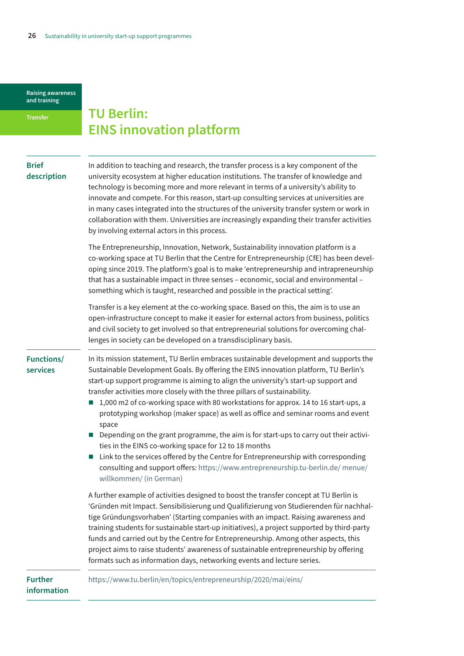#### <span id="page-25-0"></span>**Transfer**

### **TU Berlin: EINS innovation platform**

### **Brief description**

In addition to teaching and research, the transfer process is a key component of the university ecosystem at higher education institutions. The transfer of knowledge and technology is becoming more and more relevant in terms of a university's ability to innovate and compete. For this reason, start-up consulting services at universities are in many cases integrated into the structures of the university transfer system or work in collaboration with them. Universities are increasingly expanding their transfer activities by involving external actors in this process.

The Entrepreneurship, Innovation, Network, Sustainability innovation platform is a co-working space at TU Berlin that the Centre for Entrepreneurship (CfE) has been developing since 2019. The platform's goal is to make 'entrepreneurship and intrapreneurship that has a sustainable impact in three senses – economic, social and environmental – something which is taught, researched and possible in the practical setting'.

Transfer is a key element at the co-working space. Based on this, the aim is to use an open-infrastructure concept to make it easier for external actors from business, politics and civil society to get involved so that entrepreneurial solutions for overcoming challenges in society can be developed on a transdisciplinary basis.

**Functions/ services**

In its mission statement, TU Berlin embraces sustainable development and supports the Sustainable Development Goals. By offering the EINS innovation platform, TU Berlin's start-up support programme is aiming to align the university's start-up support and transfer activities more closely with the three pillars of sustainability.

- $1,000$  m2 of co-working space with 80 workstations for approx. 14 to 16 start-ups, a prototyping workshop (maker space) as well as office and seminar rooms and event space
- Depending on the grant programme, the aim is for start-ups to carry out their activities in the EINS co-working space for 12 to 18 months
- $\blacksquare$  Link to the services offered by the Centre for Entrepreneurship with corresponding consulting and support offers: [https://www.entrepreneurship.tu-berlin.de/ menue/](https://www.entrepreneurship.tu-berlin.de/ menue/willkommen/) [willkommen/ \(in German\)](https://www.entrepreneurship.tu-berlin.de/ menue/willkommen/)

A further example of activities designed to boost the transfer concept at TU Berlin is 'Gründen mit Impact. Sensibilisierung und Qualifizierung von Studierenden für nachhaltige Gründungsvorhaben' (Starting companies with an impact. Raising awareness and training students for sustainable start-up initiatives), a project supported by third-party funds and carried out by the Centre for Entrepreneurship. Among other aspects, this project aims to raise students' awareness of sustainable entrepreneurship by offering formats such as information days, networking events and lecture series.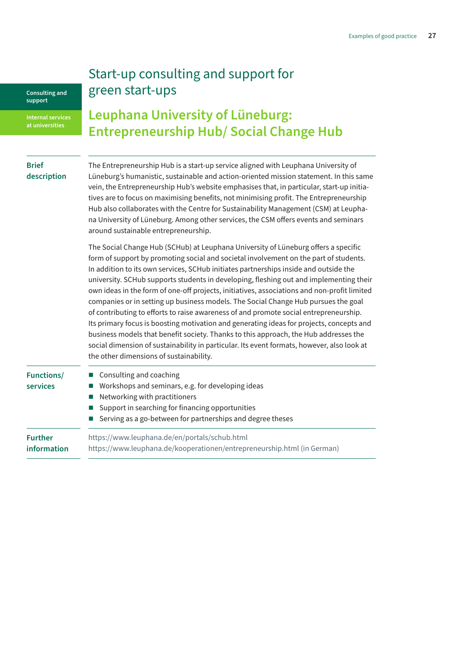### Start-up consulting and support for green start-ups

<span id="page-26-0"></span>**Consulting and support**

**at universities**

### **Leuphana University of Lüneburg: Entrepreneurship Hub/ Social Change Hub**

| <b>Brief</b><br>description   | The Entrepreneurship Hub is a start-up service aligned with Leuphana University of<br>Lüneburg's humanistic, sustainable and action-oriented mission statement. In this same<br>vein, the Entrepreneurship Hub's website emphasises that, in particular, start-up initia-<br>tives are to focus on maximising benefits, not minimising profit. The Entrepreneurship<br>Hub also collaborates with the Centre for Sustainability Management (CSM) at Leupha-<br>na University of Lüneburg. Among other services, the CSM offers events and seminars<br>around sustainable entrepreneurship.                                                                                                                                                                                                                                                                                                                                                                               |
|-------------------------------|--------------------------------------------------------------------------------------------------------------------------------------------------------------------------------------------------------------------------------------------------------------------------------------------------------------------------------------------------------------------------------------------------------------------------------------------------------------------------------------------------------------------------------------------------------------------------------------------------------------------------------------------------------------------------------------------------------------------------------------------------------------------------------------------------------------------------------------------------------------------------------------------------------------------------------------------------------------------------|
|                               | The Social Change Hub (SCHub) at Leuphana University of Lüneburg offers a specific<br>form of support by promoting social and societal involvement on the part of students.<br>In addition to its own services, SCHub initiates partnerships inside and outside the<br>university. SCHub supports students in developing, fleshing out and implementing their<br>own ideas in the form of one-off projects, initiatives, associations and non-profit limited<br>companies or in setting up business models. The Social Change Hub pursues the goal<br>of contributing to efforts to raise awareness of and promote social entrepreneurship.<br>Its primary focus is boosting motivation and generating ideas for projects, concepts and<br>business models that benefit society. Thanks to this approach, the Hub addresses the<br>social dimension of sustainability in particular. Its event formats, however, also look at<br>the other dimensions of sustainability. |
| <b>Functions/</b><br>services | Consulting and coaching<br>Workshops and seminars, e.g. for developing ideas<br>Networking with practitioners<br>Support in searching for financing opportunities<br>Serving as a go-between for partnerships and degree theses                                                                                                                                                                                                                                                                                                                                                                                                                                                                                                                                                                                                                                                                                                                                          |
| <b>Further</b><br>information | https://www.leuphana.de/en/portals/schub.html<br>https://www.leuphana.de/kooperationen/entrepreneurship.html (in German)                                                                                                                                                                                                                                                                                                                                                                                                                                                                                                                                                                                                                                                                                                                                                                                                                                                 |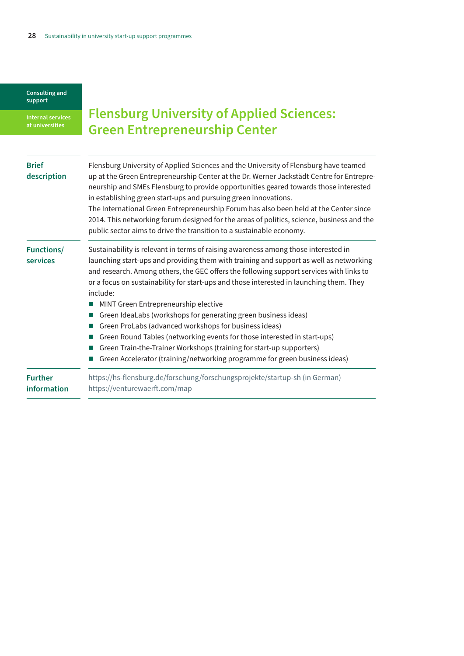<span id="page-27-0"></span>**Internal services at universities**

# **Flensburg University of Applied Sciences: Green Entrepreneurship Center**

| <b>Brief</b><br>description          | Flensburg University of Applied Sciences and the University of Flensburg have teamed<br>up at the Green Entrepreneurship Center at the Dr. Werner Jackstädt Centre for Entrepre-<br>neurship and SMEs Flensburg to provide opportunities geared towards those interested<br>in establishing green start-ups and pursuing green innovations.<br>The International Green Entrepreneurship Forum has also been held at the Center since<br>2014. This networking forum designed for the areas of politics, science, business and the<br>public sector aims to drive the transition to a sustainable economy. |
|--------------------------------------|-----------------------------------------------------------------------------------------------------------------------------------------------------------------------------------------------------------------------------------------------------------------------------------------------------------------------------------------------------------------------------------------------------------------------------------------------------------------------------------------------------------------------------------------------------------------------------------------------------------|
| <b>Functions/</b><br><b>services</b> | Sustainability is relevant in terms of raising awareness among those interested in<br>launching start-ups and providing them with training and support as well as networking<br>and research. Among others, the GEC offers the following support services with links to<br>or a focus on sustainability for start-ups and those interested in launching them. They<br>include:                                                                                                                                                                                                                            |
|                                      | MINT Green Entrepreneurship elective<br>Green IdeaLabs (workshops for generating green business ideas)                                                                                                                                                                                                                                                                                                                                                                                                                                                                                                    |
|                                      | Green ProLabs (advanced workshops for business ideas)                                                                                                                                                                                                                                                                                                                                                                                                                                                                                                                                                     |
|                                      | Green Round Tables (networking events for those interested in start-ups)                                                                                                                                                                                                                                                                                                                                                                                                                                                                                                                                  |
|                                      | Green Train-the-Trainer Workshops (training for start-up supporters)                                                                                                                                                                                                                                                                                                                                                                                                                                                                                                                                      |
|                                      | Green Accelerator (training/networking programme for green business ideas)                                                                                                                                                                                                                                                                                                                                                                                                                                                                                                                                |
| <b>Further</b><br>information        | https://hs-flensburg.de/forschung/forschungsprojekte/startup-sh (in German)<br>https://venturewaerft.com/map                                                                                                                                                                                                                                                                                                                                                                                                                                                                                              |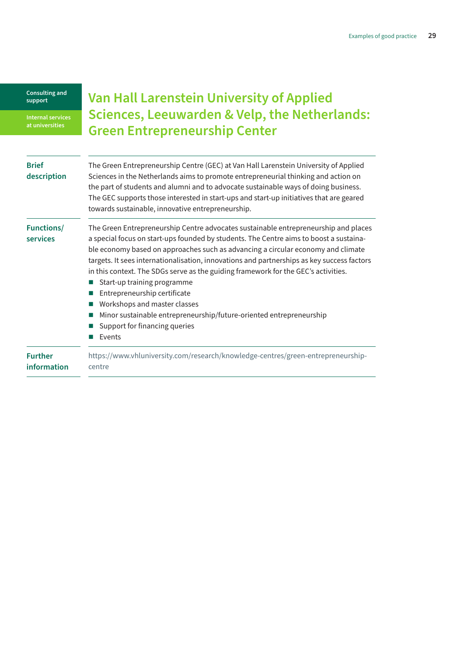<span id="page-28-0"></span>**Internal services at universities**

### **Van Hall Larenstein University of Applied Sciences, Leeuwarden & Velp, the Netherlands: Green Entrepreneurship Center**

| <b>Brief</b><br>description          | The Green Entrepreneurship Centre (GEC) at Van Hall Larenstein University of Applied<br>Sciences in the Netherlands aims to promote entrepreneurial thinking and action on<br>the part of students and alumni and to advocate sustainable ways of doing business.<br>The GEC supports those interested in start-ups and start-up initiatives that are geared<br>towards sustainable, innovative entrepreneurship.                                                                                                                                                                                                                                                      |
|--------------------------------------|------------------------------------------------------------------------------------------------------------------------------------------------------------------------------------------------------------------------------------------------------------------------------------------------------------------------------------------------------------------------------------------------------------------------------------------------------------------------------------------------------------------------------------------------------------------------------------------------------------------------------------------------------------------------|
| <b>Functions/</b><br><b>services</b> | The Green Entrepreneurship Centre advocates sustainable entrepreneurship and places<br>a special focus on start-ups founded by students. The Centre aims to boost a sustaina-<br>ble economy based on approaches such as advancing a circular economy and climate<br>targets. It sees internationalisation, innovations and partnerships as key success factors<br>in this context. The SDGs serve as the guiding framework for the GEC's activities.<br>Start-up training programme<br>Entrepreneurship certificate<br>Workshops and master classes<br>Minor sustainable entrepreneurship/future-oriented entrepreneurship<br>Support for financing queries<br>Events |
| <b>Further</b><br>information        | https://www.vhluniversity.com/research/knowledge-centres/green-entrepreneurship-<br>centre                                                                                                                                                                                                                                                                                                                                                                                                                                                                                                                                                                             |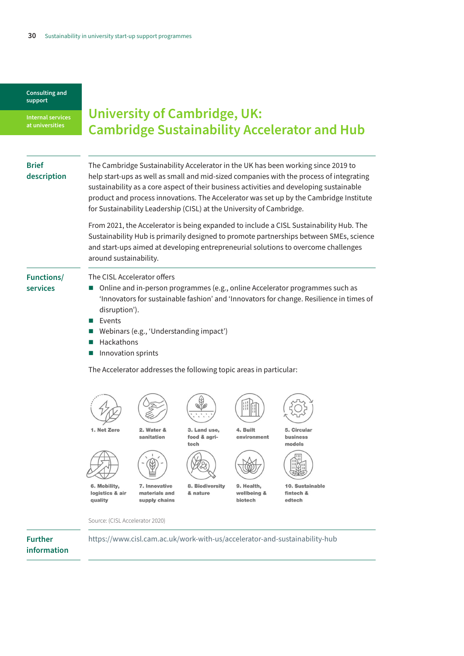<span id="page-29-0"></span>**Internal services at universities**

### **University of Cambridge, UK: Cambridge Sustainability Accelerator and Hub**

### **Brief description**

The Cambridge Sustainability Accelerator in the UK has been working since 2019 to help start-ups as well as small and mid-sized companies with the process of integrating sustainability as a core aspect of their business activities and developing sustainable product and process innovations. The Accelerator was set up by the Cambridge Institute for Sustainability Leadership (CISL) at the University of Cambridge.

From 2021, the Accelerator is being expanded to include a CISL Sustainability Hub. The Sustainability Hub is primarily designed to promote partnerships between SMEs, science and start-ups aimed at developing entrepreneurial solutions to overcome challenges around sustainability.

### **Functions/**

**services**

The CISL Accelerator offers

- Online and in-person programmes (e.g., online Accelerator programmes such as 'Innovators for sustainable fashion' and 'Innovators for change. Resilience in times of disruption').
- **Events**
- Webinars (e.g., 'Understanding impact')
- Hackathons
- **Innovation sprints**

The Accelerator addresses the following topic areas in particular:



Source: (CISL Accelerator 2020)

**Further** 

<https://www.cisl.cam.ac.uk/work-with-us/accelerator-and-sustainability-hub>

**information**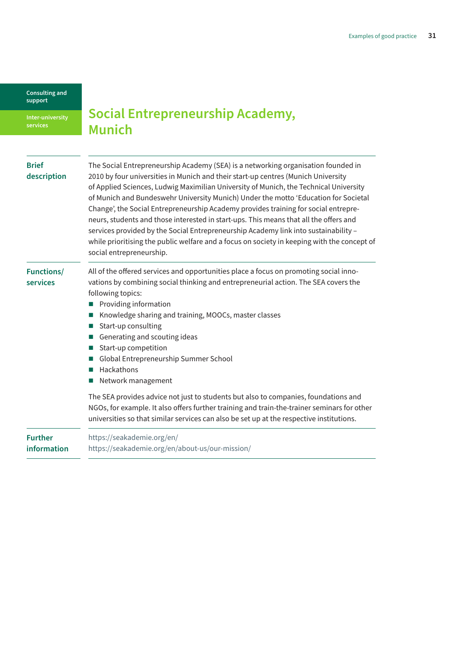<span id="page-30-0"></span>**Inter-university services**

**Social Entrepreneurship Academy, Munich** 

| <b>Brief</b><br>description   | The Social Entrepreneurship Academy (SEA) is a networking organisation founded in<br>2010 by four universities in Munich and their start-up centres (Munich University<br>of Applied Sciences, Ludwig Maximilian University of Munich, the Technical University<br>of Munich and Bundeswehr University Munich) Under the motto 'Education for Societal<br>Change', the Social Entrepreneurship Academy provides training for social entrepre-<br>neurs, students and those interested in start-ups. This means that all the offers and<br>services provided by the Social Entrepreneurship Academy link into sustainability -<br>while prioritising the public welfare and a focus on society in keeping with the concept of<br>social entrepreneurship. |
|-------------------------------|----------------------------------------------------------------------------------------------------------------------------------------------------------------------------------------------------------------------------------------------------------------------------------------------------------------------------------------------------------------------------------------------------------------------------------------------------------------------------------------------------------------------------------------------------------------------------------------------------------------------------------------------------------------------------------------------------------------------------------------------------------|
| <b>Functions/</b><br>services | All of the offered services and opportunities place a focus on promoting social inno-<br>vations by combining social thinking and entrepreneurial action. The SEA covers the<br>following topics:<br>Providing information<br>Knowledge sharing and training, MOOCs, master classes<br>Start-up consulting<br>Generating and scouting ideas<br>Start-up competition<br>Global Entrepreneurship Summer School<br>Hackathons<br>Network management                                                                                                                                                                                                                                                                                                         |
|                               | The SEA provides advice not just to students but also to companies, foundations and<br>NGOs, for example. It also offers further training and train-the-trainer seminars for other<br>universities so that similar services can also be set up at the respective institutions.                                                                                                                                                                                                                                                                                                                                                                                                                                                                           |
| <b>Further</b><br>information | https://seakademie.org/en/<br>https://seakademie.org/en/about-us/our-mission/                                                                                                                                                                                                                                                                                                                                                                                                                                                                                                                                                                                                                                                                            |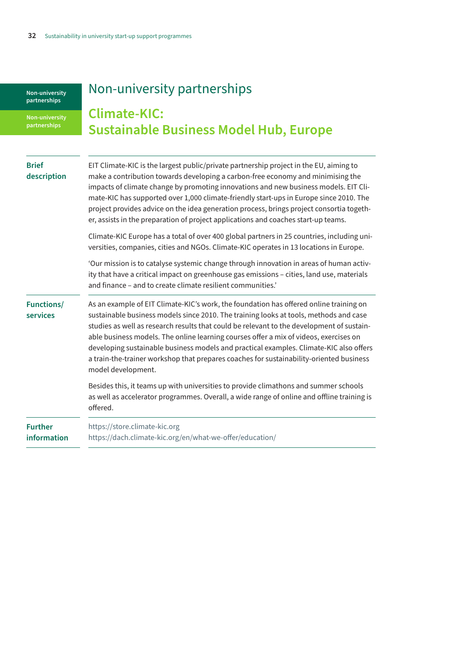# Non-university partnerships

<span id="page-31-0"></span>**Non-university partnerships** 

# **Climate-KIC: Sustainable Business Model Hub, Europe**

| <b>Brief</b><br>description   | EIT Climate-KIC is the largest public/private partnership project in the EU, aiming to<br>make a contribution towards developing a carbon-free economy and minimising the<br>impacts of climate change by promoting innovations and new business models. EIT Cli-<br>mate-KIC has supported over 1,000 climate-friendly start-ups in Europe since 2010. The<br>project provides advice on the idea generation process, brings project consortia togeth-<br>er, assists in the preparation of project applications and coaches start-up teams.                                    |
|-------------------------------|----------------------------------------------------------------------------------------------------------------------------------------------------------------------------------------------------------------------------------------------------------------------------------------------------------------------------------------------------------------------------------------------------------------------------------------------------------------------------------------------------------------------------------------------------------------------------------|
|                               | Climate-KIC Europe has a total of over 400 global partners in 25 countries, including uni-<br>versities, companies, cities and NGOs. Climate-KIC operates in 13 locations in Europe.                                                                                                                                                                                                                                                                                                                                                                                             |
|                               | 'Our mission is to catalyse systemic change through innovation in areas of human activ-<br>ity that have a critical impact on greenhouse gas emissions - cities, land use, materials<br>and finance - and to create climate resilient communities.'                                                                                                                                                                                                                                                                                                                              |
| <b>Functions/</b><br>services | As an example of EIT Climate-KIC's work, the foundation has offered online training on<br>sustainable business models since 2010. The training looks at tools, methods and case<br>studies as well as research results that could be relevant to the development of sustain-<br>able business models. The online learning courses offer a mix of videos, exercises on<br>developing sustainable business models and practical examples. Climate-KIC also offers<br>a train-the-trainer workshop that prepares coaches for sustainability-oriented business<br>model development. |
|                               | Besides this, it teams up with universities to provide climathons and summer schools<br>as well as accelerator programmes. Overall, a wide range of online and offline training is<br>offered.                                                                                                                                                                                                                                                                                                                                                                                   |
| <b>Further</b><br>information | https://store.climate-kic.org<br>https://dach.climate-kic.org/en/what-we-offer/education/                                                                                                                                                                                                                                                                                                                                                                                                                                                                                        |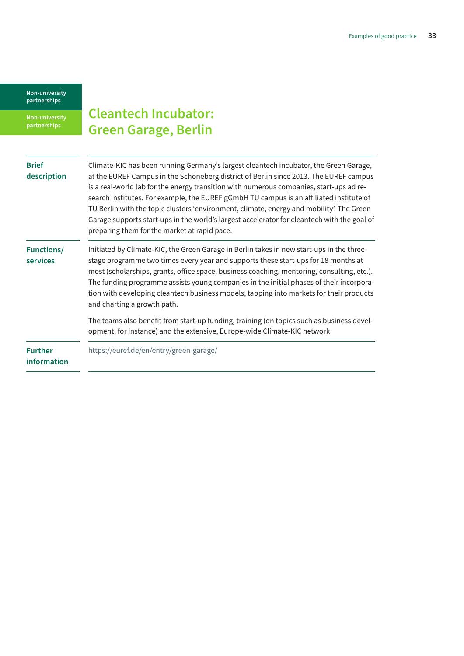<span id="page-32-0"></span>**Non-university partnerships** 

# **Cleantech Incubator: Green Garage, Berlin**

| <b>Brief</b><br>description          | Climate-KIC has been running Germany's largest cleantech incubator, the Green Garage,<br>at the EUREF Campus in the Schöneberg district of Berlin since 2013. The EUREF campus<br>is a real-world lab for the energy transition with numerous companies, start-ups ad re-<br>search institutes. For example, the EUREF gGmbH TU campus is an affiliated institute of<br>TU Berlin with the topic clusters 'environment, climate, energy and mobility'. The Green<br>Garage supports start-ups in the world's largest accelerator for cleantech with the goal of<br>preparing them for the market at rapid pace. |
|--------------------------------------|-----------------------------------------------------------------------------------------------------------------------------------------------------------------------------------------------------------------------------------------------------------------------------------------------------------------------------------------------------------------------------------------------------------------------------------------------------------------------------------------------------------------------------------------------------------------------------------------------------------------|
| <b>Functions/</b><br><b>services</b> | Initiated by Climate-KIC, the Green Garage in Berlin takes in new start-ups in the three-<br>stage programme two times every year and supports these start-ups for 18 months at<br>most (scholarships, grants, office space, business coaching, mentoring, consulting, etc.).<br>The funding programme assists young companies in the initial phases of their incorpora-<br>tion with developing cleantech business models, tapping into markets for their products<br>and charting a growth path.                                                                                                              |
|                                      | The teams also benefit from start-up funding, training (on topics such as business devel-<br>opment, for instance) and the extensive, Europe-wide Climate-KIC network.                                                                                                                                                                                                                                                                                                                                                                                                                                          |
| <b>Further</b><br>information        | https://euref.de/en/entry/green-garage/                                                                                                                                                                                                                                                                                                                                                                                                                                                                                                                                                                         |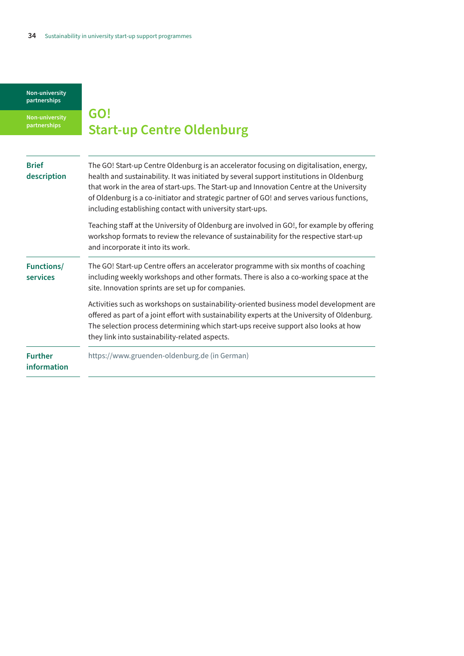<span id="page-33-0"></span>**Non-university partnerships**

# **GO! Start-up Centre Oldenburg**

| <b>Brief</b><br>description   | The GO! Start-up Centre Oldenburg is an accelerator focusing on digitalisation, energy,<br>health and sustainability. It was initiated by several support institutions in Oldenburg<br>that work in the area of start-ups. The Start-up and Innovation Centre at the University<br>of Oldenburg is a co-initiator and strategic partner of GO! and serves various functions,<br>including establishing contact with university start-ups. |
|-------------------------------|-------------------------------------------------------------------------------------------------------------------------------------------------------------------------------------------------------------------------------------------------------------------------------------------------------------------------------------------------------------------------------------------------------------------------------------------|
|                               | Teaching staff at the University of Oldenburg are involved in GO!, for example by offering<br>workshop formats to review the relevance of sustainability for the respective start-up<br>and incorporate it into its work.                                                                                                                                                                                                                 |
| <b>Functions/</b><br>services | The GO! Start-up Centre offers an accelerator programme with six months of coaching<br>including weekly workshops and other formats. There is also a co-working space at the<br>site. Innovation sprints are set up for companies.                                                                                                                                                                                                        |
|                               | Activities such as workshops on sustainability-oriented business model development are<br>offered as part of a joint effort with sustainability experts at the University of Oldenburg.<br>The selection process determining which start-ups receive support also looks at how<br>they link into sustainability-related aspects.                                                                                                          |
| <b>Further</b><br>information | https://www.gruenden-oldenburg.de (in German)                                                                                                                                                                                                                                                                                                                                                                                             |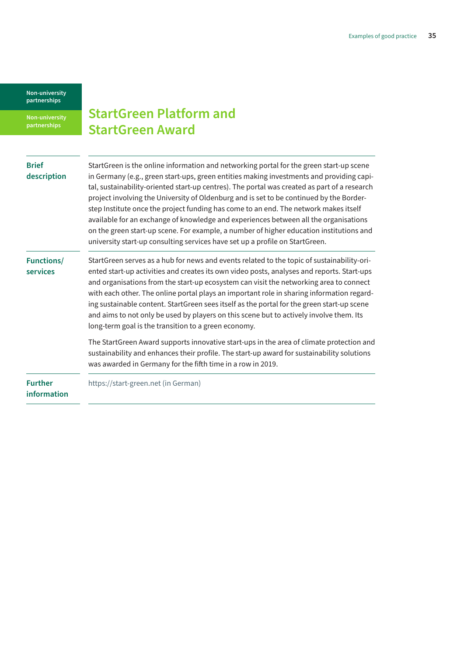<span id="page-34-0"></span>**Non-university partnerships**

### **StartGreen Platform and StartGreen Award**

| <b>Brief</b>                  | StartGreen is the online information and networking portal for the green start-up scene                                                                                                                                                                                                                                                                                                                                                                                                                                                                                                                                          |
|-------------------------------|----------------------------------------------------------------------------------------------------------------------------------------------------------------------------------------------------------------------------------------------------------------------------------------------------------------------------------------------------------------------------------------------------------------------------------------------------------------------------------------------------------------------------------------------------------------------------------------------------------------------------------|
| description                   | in Germany (e.g., green start-ups, green entities making investments and providing capi-<br>tal, sustainability-oriented start-up centres). The portal was created as part of a research<br>project involving the University of Oldenburg and is set to be continued by the Border-<br>step Institute once the project funding has come to an end. The network makes itself                                                                                                                                                                                                                                                      |
|                               | available for an exchange of knowledge and experiences between all the organisations<br>on the green start-up scene. For example, a number of higher education institutions and<br>university start-up consulting services have set up a profile on StartGreen.                                                                                                                                                                                                                                                                                                                                                                  |
| <b>Functions/</b><br>services | StartGreen serves as a hub for news and events related to the topic of sustainability-ori-<br>ented start-up activities and creates its own video posts, analyses and reports. Start-ups<br>and organisations from the start-up ecosystem can visit the networking area to connect<br>with each other. The online portal plays an important role in sharing information regard-<br>ing sustainable content. StartGreen sees itself as the portal for the green start-up scene<br>and aims to not only be used by players on this scene but to actively involve them. Its<br>long-term goal is the transition to a green economy. |
|                               | The StartGreen Award supports innovative start-ups in the area of climate protection and<br>sustainability and enhances their profile. The start-up award for sustainability solutions<br>was awarded in Germany for the fifth time in a row in 2019.                                                                                                                                                                                                                                                                                                                                                                            |
| <b>Further</b><br>information | https://start-green.net (in German)                                                                                                                                                                                                                                                                                                                                                                                                                                                                                                                                                                                              |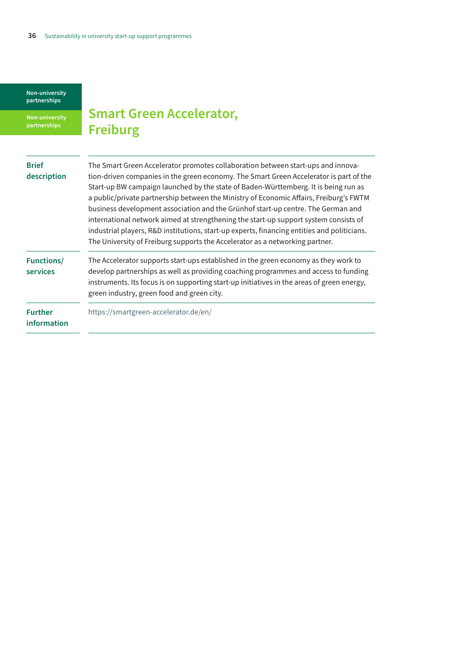<span id="page-35-0"></span>**Non-university partnerships**

# **Smart Green Accelerator, Freiburg**

| <b>Brief</b>                  | The Smart Green Accelerator promotes collaboration between start-ups and innova-                                                                                                                                                                                                                                                                                                                                                                                                                                                         |
|-------------------------------|------------------------------------------------------------------------------------------------------------------------------------------------------------------------------------------------------------------------------------------------------------------------------------------------------------------------------------------------------------------------------------------------------------------------------------------------------------------------------------------------------------------------------------------|
| description                   | tion-driven companies in the green economy. The Smart Green Accelerator is part of the                                                                                                                                                                                                                                                                                                                                                                                                                                                   |
|                               | Start-up BW campaign launched by the state of Baden-Württemberg. It is being run as<br>a public/private partnership between the Ministry of Economic Affairs, Freiburg's FWTM<br>business development association and the Grünhof start-up centre. The German and<br>international network aimed at strengthening the start-up support system consists of<br>industrial players, R&D institutions, start-up experts, financing entities and politicians.<br>The University of Freiburg supports the Accelerator as a networking partner. |
| <b>Functions/</b><br>services | The Accelerator supports start-ups established in the green economy as they work to<br>develop partnerships as well as providing coaching programmes and access to funding<br>instruments. Its focus is on supporting start-up initiatives in the areas of green energy,<br>green industry, green food and green city.                                                                                                                                                                                                                   |
| <b>Further</b><br>information | https://smartgreen-accelerator.de/en/                                                                                                                                                                                                                                                                                                                                                                                                                                                                                                    |
|                               |                                                                                                                                                                                                                                                                                                                                                                                                                                                                                                                                          |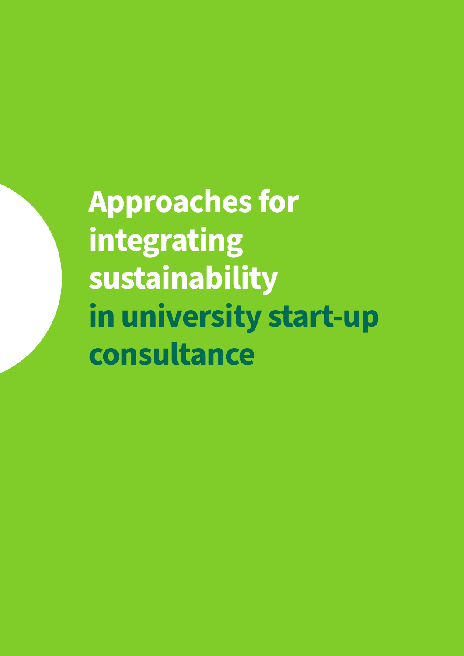<span id="page-36-0"></span>**Approaches for integrating sustainability in university start-up consultance**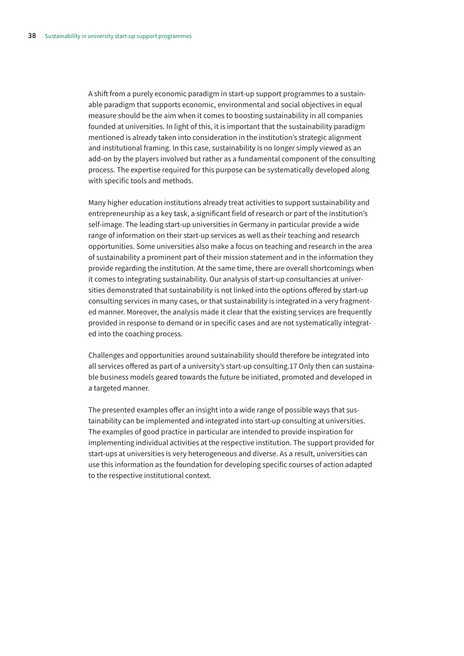A shift from a purely economic paradigm in start-up support programmes to a sustainable paradigm that supports economic, environmental and social objectives in equal measure should be the aim when it comes to boosting sustainability in all companies founded at universities. In light of this, it is important that the sustainability paradigm mentioned is already taken into consideration in the institution's strategic alignment and institutional framing. In this case, sustainability is no longer simply viewed as an add-on by the players involved but rather as a fundamental component of the consulting process. The expertise required for this purpose can be systematically developed along with specific tools and methods.

Many higher education institutions already treat activities to support sustainability and entrepreneurship as a key task, a significant field of research or part of the institution's self-image. The leading start-up universities in Germany in particular provide a wide range of information on their start-up services as well as their teaching and research opportunities. Some universities also make a focus on teaching and research in the area of sustainability a prominent part of their mission statement and in the information they provide regarding the institution. At the same time, there are overall shortcomings when it comes to integrating sustainability. Our analysis of start-up consultancies at universities demonstrated that sustainability is not linked into the options offered by start-up consulting services in many cases, or that sustainability is integrated in a very fragmented manner. Moreover, the analysis made it clear that the existing services are frequently provided in response to demand or in specific cases and are not systematically integrated into the coaching process.

Challenges and opportunities around sustainability should therefore be integrated into all services offered as part of a university's start-up consulting.17 Only then can sustainable business models geared towards the future be initiated, promoted and developed in a targeted manner.

The presented examples offer an insight into a wide range of possible ways that sustainability can be implemented and integrated into start-up consulting at universities. The examples of good practice in particular are intended to provide inspiration for implementing individual activities at the respective institution. The support provided for start-ups at universities is very heterogeneous and diverse. As a result, universities can use this information as the foundation for developing specific courses of action adapted to the respective institutional context.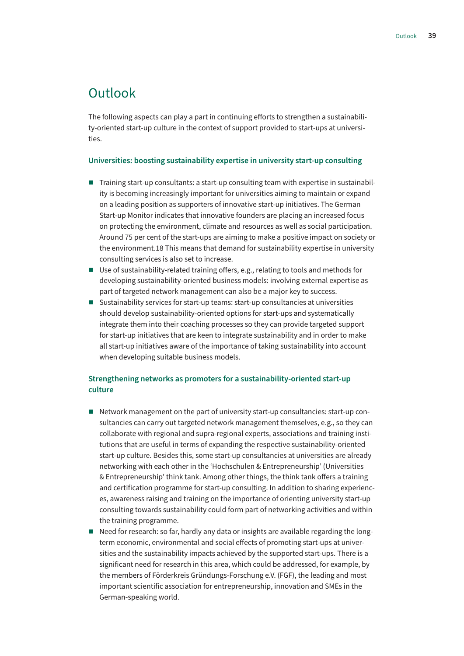### <span id="page-38-0"></span>Outlook

The following aspects can play a part in continuing efforts to strengthen a sustainability-oriented start-up culture in the context of support provided to start-ups at universities.

### **Universities: boosting sustainability expertise in university start-up consulting**

- Training start-up consultants: a start-up consulting team with expertise in sustainability is becoming increasingly important for universities aiming to maintain or expand on a leading position as supporters of innovative start-up initiatives. The German Start-up Monitor indicates that innovative founders are placing an increased focus on protecting the environment, climate and resources as well as social participation. Around 75 per cent of the start-ups are aiming to make a positive impact on society or the environment.18 This means that demand for sustainability expertise in university consulting services is also set to increase.
- Use of sustainability-related training offers, e.g., relating to tools and methods for developing sustainability-oriented business models: involving external expertise as part of targeted network management can also be a major key to success.
- Sustainability services for start-up teams: start-up consultancies at universities should develop sustainability-oriented options for start-ups and systematically integrate them into their coaching processes so they can provide targeted support for start-up initiatives that are keen to integrate sustainability and in order to make all start-up initiatives aware of the importance of taking sustainability into account when developing suitable business models.

### **Strengthening networks as promoters for a sustainability-oriented start-up culture**

- Network management on the part of university start-up consultancies: start-up consultancies can carry out targeted network management themselves, e.g., so they can collaborate with regional and supra-regional experts, associations and training institutions that are useful in terms of expanding the respective sustainability-oriented start-up culture. Besides this, some start-up consultancies at universities are already networking with each other in the 'Hochschulen & Entrepreneurship' (Universities & Entrepreneurship' think tank. Among other things, the think tank offers a training and certification programme for start-up consulting. In addition to sharing experiences, awareness raising and training on the importance of orienting university start-up consulting towards sustainability could form part of networking activities and within the training programme.
- Need for research: so far, hardly any data or insights are available regarding the longterm economic, environmental and social effects of promoting start-ups at universities and the sustainability impacts achieved by the supported start-ups. There is a significant need for research in this area, which could be addressed, for example, by the members of Förderkreis Gründungs-Forschung e.V. (FGF), the leading and most important scientific association for entrepreneurship, innovation and SMEs in the German-speaking world.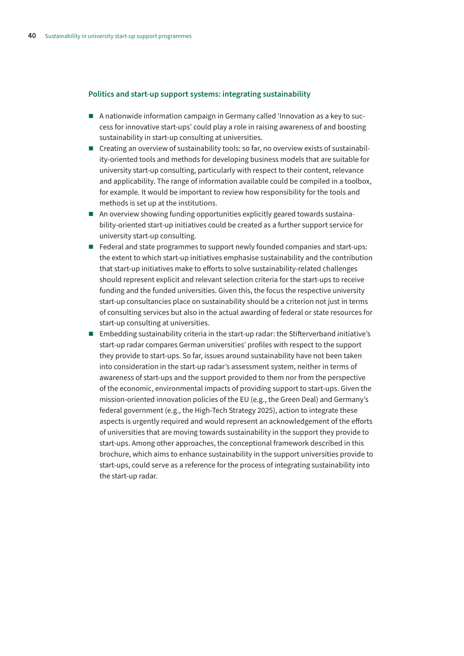### **Politics and start-up support systems: integrating sustainability**

- A nationwide information campaign in Germany called 'Innovation as a key to success for innovative start-ups' could play a role in raising awareness of and boosting sustainability in start-up consulting at universities.
- Creating an overview of sustainability tools: so far, no overview exists of sustainability-oriented tools and methods for developing business models that are suitable for university start-up consulting, particularly with respect to their content, relevance and applicability. The range of information available could be compiled in a toolbox, for example. It would be important to review how responsibility for the tools and methods is set up at the institutions.
- An overview showing funding opportunities explicitly geared towards sustainability-oriented start-up initiatives could be created as a further support service for university start-up consulting.
- Federal and state programmes to support newly founded companies and start-ups: the extent to which start-up initiatives emphasise sustainability and the contribution that start-up initiatives make to efforts to solve sustainability-related challenges should represent explicit and relevant selection criteria for the start-ups to receive funding and the funded universities. Given this, the focus the respective university start-up consultancies place on sustainability should be a criterion not just in terms of consulting services but also in the actual awarding of federal or state resources for start-up consulting at universities.
- $\blacksquare$  Embedding sustainability criteria in the start-up radar: the Stifterverband initiative's start-up radar compares German universities' profiles with respect to the support they provide to start-ups. So far, issues around sustainability have not been taken into consideration in the start-up radar's assessment system, neither in terms of awareness of start-ups and the support provided to them nor from the perspective of the economic, environmental impacts of providing support to start-ups. Given the mission-oriented innovation policies of the EU (e.g., the Green Deal) and Germany's federal government (e.g., the High-Tech Strategy 2025), action to integrate these aspects is urgently required and would represent an acknowledgement of the efforts of universities that are moving towards sustainability in the support they provide to start-ups. Among other approaches, the conceptional framework described in this brochure, which aims to enhance sustainability in the support universities provide to start-ups, could serve as a reference for the process of integrating sustainability into the start-up radar.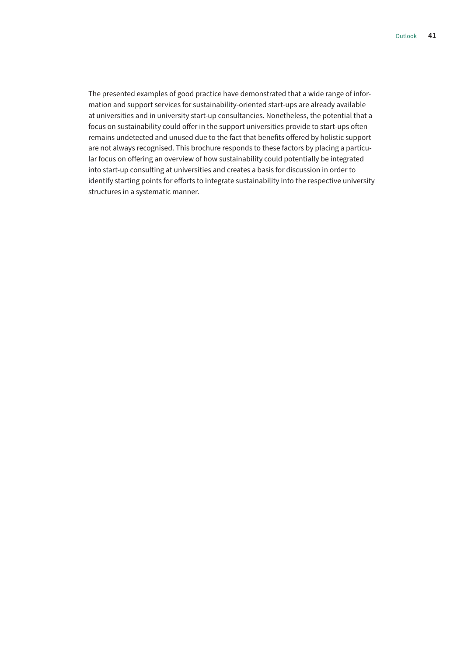The presented examples of good practice have demonstrated that a wide range of information and support services for sustainability-oriented start-ups are already available at universities and in university start-up consultancies. Nonetheless, the potential that a focus on sustainability could offer in the support universities provide to start-ups often remains undetected and unused due to the fact that benefits offered by holistic support are not always recognised. This brochure responds to these factors by placing a particular focus on offering an overview of how sustainability could potentially be integrated into start-up consulting at universities and creates a basis for discussion in order to identify starting points for efforts to integrate sustainability into the respective university structures in a systematic manner.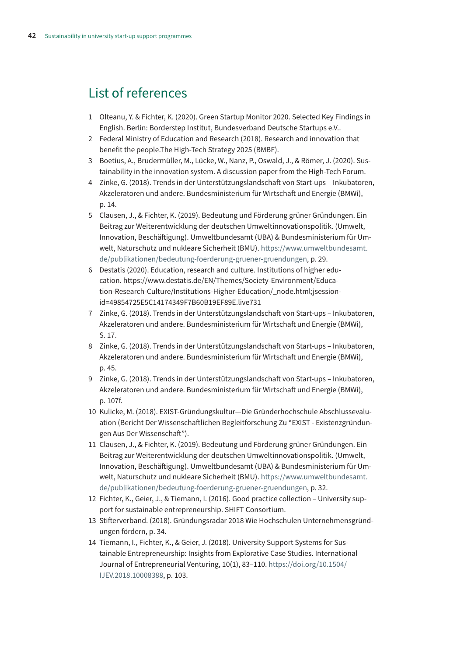### <span id="page-41-0"></span>List of references

- 1 Olteanu, Y. & Fichter, K. (2020). Green Startup Monitor 2020. Selected Key Findings in English. Berlin: Borderstep Institut, Bundesverband Deutsche Startups e.V..
- 2 Federal Ministry of Education and Research (2018). Research and innovation that benefit the people.The High-Tech Strategy 2025 (BMBF).
- 3 Boetius, A., Brudermüller, M., Lücke, W., Nanz, P., Oswald, J., & Römer, J. (2020). Sustainability in the innovation system. A discussion paper from the High-Tech Forum.
- 4 Zinke, G. (2018). Trends in der Unterstützungslandschaft von Start-ups Inkubatoren, Akzeleratoren und andere. Bundesministerium für Wirtschaft und Energie (BMWi), p. 14.
- 5 Clausen, J., & Fichter, K. (2019). Bedeutung und Förderung grüner Gründungen. Ein Beitrag zur Weiterentwicklung der deutschen Umweltinnovationspolitik. (Umwelt, Innovation, Beschäftigung). Umweltbundesamt (UBA) & Bundesministerium für Umwelt, Naturschutz und nukleare Sicherheit (BMU). [https://www.umweltbundesamt.](https://www.umweltbundesamt.de/publikationen/bedeutung-foerderung-gruener-gruendungen) [de/publikationen/bedeutung-foerderung-gruener-gruendungen](https://www.umweltbundesamt.de/publikationen/bedeutung-foerderung-gruener-gruendungen), p. 29.
- 6 Destatis (2020). Education, research and culture. Institutions of higher education. [https://www.destatis.de/EN/Themes/Society-Environment/Educa](https://www.destatis.de/EN/Themes/Society-Environment/Education-Research-Culture/Institutions-Higher-Education/_node.html;jsessionid=49854725E5C14174349F7B60B19EF89E.live731)[tion-Research-Culture/Institutions-Higher-Education/\\_node.html;jsession](https://www.destatis.de/EN/Themes/Society-Environment/Education-Research-Culture/Institutions-Higher-Education/_node.html;jsessionid=49854725E5C14174349F7B60B19EF89E.live731)[id=49854725E5C14174349F7B60B19EF89E.live731](https://www.destatis.de/EN/Themes/Society-Environment/Education-Research-Culture/Institutions-Higher-Education/_node.html;jsessionid=49854725E5C14174349F7B60B19EF89E.live731)
- 7 Zinke, G. (2018). Trends in der Unterstützungslandschaft von Start-ups Inkubatoren, Akzeleratoren und andere. Bundesministerium für Wirtschaft und Energie (BMWi), S. 17.
- 8 Zinke, G. (2018). Trends in der Unterstützungslandschaft von Start-ups Inkubatoren, Akzeleratoren und andere. Bundesministerium für Wirtschaft und Energie (BMWi), p. 45.
- 9 Zinke, G. (2018). Trends in der Unterstützungslandschaft von Start-ups Inkubatoren, Akzeleratoren und andere. Bundesministerium für Wirtschaft und Energie (BMWi), p. 107f.
- 10 Kulicke, M. (2018). EXIST-Gründungskultur—Die Gründerhochschule Abschlussevaluation (Bericht Der Wissenschaftlichen Begleitforschung Zu "EXIST - Existenzgründungen Aus Der Wissenschaft").
- 11 Clausen, J., & Fichter, K. (2019). Bedeutung und Förderung grüner Gründungen. Ein Beitrag zur Weiterentwicklung der deutschen Umweltinnovationspolitik. (Umwelt, Innovation, Beschäftigung). Umweltbundesamt (UBA) & Bundesministerium für Umwelt, Naturschutz und nukleare Sicherheit (BMU). [https://www.umweltbundesamt.](https://www.umweltbundesamt.de/publikationen/bedeutung-foerderung-gruener-gruendungen) [de/publikationen/bedeutung-foerderung-gruener-gruendungen](https://www.umweltbundesamt.de/publikationen/bedeutung-foerderung-gruener-gruendungen), p. 32.
- 12 Fichter, K., Geier, J., & Tiemann, I. (2016). Good practice collection University support for sustainable entrepreneurship. SHIFT Consortium.
- 13 Stifterverband. (2018). Gründungsradar 2018 Wie Hochschulen Unternehmensgründungen fördern, p. 34.
- 14 Tiemann, I., Fichter, K., & Geier, J. (2018). University Support Systems for Sustainable Entrepreneurship: Insights from Explorative Case Studies. International Journal of Entrepreneurial Venturing, 10(1), 83–110. [https://doi.org/10.1504/](https://doi.org/10.1504/IJEV.2018.10008388) [IJEV.2018.10008388](https://doi.org/10.1504/IJEV.2018.10008388), p. 103.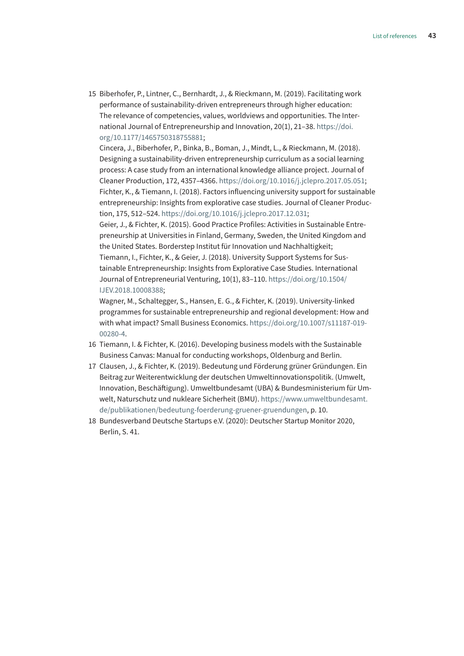15 Biberhofer, P., Lintner, C., Bernhardt, J., & Rieckmann, M. (2019). Facilitating work performance of sustainability-driven entrepreneurs through higher education: The relevance of competencies, values, worldviews and opportunities. The International Journal of Entrepreneurship and Innovation, 20(1), 21–38. [https://doi.](https://doi.org/10.1177/1465750318755881) [org/10.1177/1465750318755881;](https://doi.org/10.1177/1465750318755881)

Cincera, J., Biberhofer, P., Binka, B., Boman, J., Mindt, L., & Rieckmann, M. (2018). Designing a sustainability-driven entrepreneurship curriculum as a social learning process: A case study from an international knowledge alliance project. Journal of Cleaner Production, 172, 4357–4366.<https://doi.org/10.1016/j.jclepro.2017.05.051>; Fichter, K., & Tiemann, I. (2018). Factors influencing university support for sustainable entrepreneurship: Insights from explorative case studies. Journal of Cleaner Production, 175, 512–524.<https://doi.org/10.1016/j.jclepro.2017.12.031>;

Geier, J., & Fichter, K. (2015). Good Practice Profiles: Activities in Sustainable Entrepreneurship at Universities in Finland, Germany, Sweden, the United Kingdom and the United States. Borderstep Institut für Innovation und Nachhaltigkeit;

Tiemann, I., Fichter, K., & Geier, J. (2018). University Support Systems for Sustainable Entrepreneurship: Insights from Explorative Case Studies. International Journal of Entrepreneurial Venturing, 10(1), 83–110. [https://doi.org/10.1504/](https://doi.org/10.1504/IJEV.2018.10008388) [IJEV.2018.10008388](https://doi.org/10.1504/IJEV.2018.10008388);

Wagner, M., Schaltegger, S., Hansen, E. G., & Fichter, K. (2019). University-linked programmes for sustainable entrepreneurship and regional development: How and with what impact? Small Business Economics. [https://doi.org/10.1007/s11187-019-](https://doi.org/10.1007/s11187-019-00280-4) [00280-4](https://doi.org/10.1007/s11187-019-00280-4).

- 16 Tiemann, I. & Fichter, K. (2016). Developing business models with the Sustainable Business Canvas: Manual for conducting workshops, Oldenburg and Berlin.
- 17 Clausen, J., & Fichter, K. (2019). Bedeutung und Förderung grüner Gründungen. Ein Beitrag zur Weiterentwicklung der deutschen Umweltinnovationspolitik. (Umwelt, Innovation, Beschäftigung). Umweltbundesamt (UBA) & Bundesministerium für Umwelt, Naturschutz und nukleare Sicherheit (BMU). [https://www.umweltbundesamt.](https://www.umweltbundesamt.de/publikationen/bedeutung-foerderung-gruener-gruendungen) [de/publikationen/bedeutung-foerderung-gruener-gruendungen](https://www.umweltbundesamt.de/publikationen/bedeutung-foerderung-gruener-gruendungen), p. 10.
- 18 Bundesverband Deutsche Startups e.V. (2020): Deutscher Startup Monitor 2020, Berlin, S. 41.